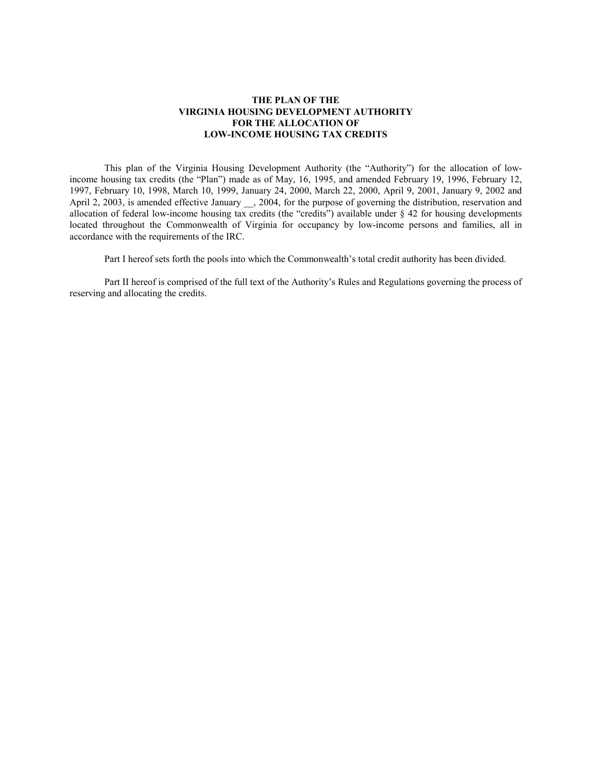# **THE PLAN OF THE VIRGINIA HOUSING DEVELOPMENT AUTHORITY FOR THE ALLOCATION OF LOW-INCOME HOUSING TAX CREDITS**

This plan of the Virginia Housing Development Authority (the "Authority") for the allocation of lowincome housing tax credits (the "Plan") made as of May, 16, 1995, and amended February 19, 1996, February 12, 1997, February 10, 1998, March 10, 1999, January 24, 2000, March 22, 2000, April 9, 2001, January 9, 2002 and April 2, 2003, is amended effective January \_\_, 2004, for the purpose of governing the distribution, reservation and allocation of federal low-income housing tax credits (the "credits") available under § 42 for housing developments located throughout the Commonwealth of Virginia for occupancy by low-income persons and families, all in accordance with the requirements of the IRC.

Part I hereof sets forth the pools into which the Commonwealth's total credit authority has been divided.

Part II hereof is comprised of the full text of the Authority's Rules and Regulations governing the process of reserving and allocating the credits.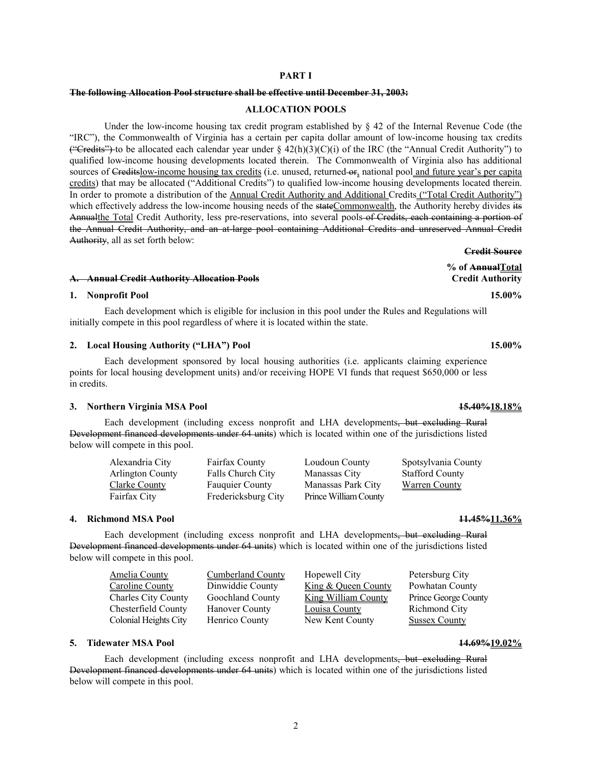# 2

# **PART I**

# **The following Allocation Pool structure shall be effective until December 31, 2003:**

# **ALLOCATION POOLS**

Under the low-income housing tax credit program established by § 42 of the Internal Revenue Code (the "IRC"), the Commonwealth of Virginia has a certain per capita dollar amount of low-income housing tax credits ("Credits") to be allocated each calendar year under §  $42(h)(3)(C)(i)$  of the IRC (the "Annual Credit Authority") to qualified low-income housing developments located therein. The Commonwealth of Virginia also has additional sources of Creditslow-income housing tax credits (i.e. unused, returned or, national pool and future year's per capita credits) that may be allocated ("Additional Credits") to qualified low-income housing developments located therein. In order to promote a distribution of the Annual Credit Authority and Additional Credits ("Total Credit Authority") which effectively address the low-income housing needs of the stateCommonwealth, the Authority hereby divides its Annualthe Total Credit Authority, less pre-reservations, into several pools of Credits, each containing a portion of the Annual Credit Authority, and an at-large pool containing Additional Credits and unreserved Annual Credit Authority, all as set forth below:

### **A. Annual Credit Authority Allocation Pools Credit Authority**

# **1. Nonprofit Pool 15.00%**

Each development which is eligible for inclusion in this pool under the Rules and Regulations will initially compete in this pool regardless of where it is located within the state.

# **2. Local Housing Authority ("LHA") Pool 15.00%**

Each development sponsored by local housing authorities (i.e. applicants claiming experience points for local housing development units) and/or receiving HOPE VI funds that request \$650,000 or less in credits.

# **3. Northern Virginia MSA Pool 15.40%18.18%**

Each development (including excess nonprofit and LHA developments, but excluding Rural Development financed developments under 64 units) which is located within one of the jurisdictions listed below will compete in this pool.

| Alexandria City  | <b>Fairfax County</b>  | Loudoun County        | Spotsylvania County    |
|------------------|------------------------|-----------------------|------------------------|
| Arlington County | Falls Church City      | Manassas City         | <b>Stafford County</b> |
| Clarke County    | <b>Fauguier County</b> | Manassas Park City    | <b>Warren County</b>   |
| Fairfax City     | Fredericksburg City    | Prince William County |                        |

#### **4. Richmond MSA Pool 11.45%11.36%**

Each development (including excess nonprofit and LHA developments, but excluding Rural Development financed developments under 64 units) which is located within one of the jurisdictions listed below will compete in this pool.

| <b>Amelia County</b>       | <b>Cumberland County</b> | Hopewell City                  | Petersburg City      |
|----------------------------|--------------------------|--------------------------------|----------------------|
| <b>Caroline County</b>     | Dinwiddie County         | <u>King &amp; Queen County</u> | Powhatan County      |
| <b>Charles City County</b> | Goochland County         | <b>King William County</b>     | Prince George County |
| Chesterfield County        | <b>Hanover County</b>    | Louisa County                  | Richmond City        |
| Colonial Heights City      | Henrico County           | New Kent County                | <b>Sussex County</b> |

# **5. Tidewater MSA Pool 14.69%19.02%**

Each development (including excess nonprofit and LHA developments, but excluding Rural Development financed developments under 64 units) which is located within one of the jurisdictions listed below will compete in this pool.

**Credit Source % of AnnualTotal**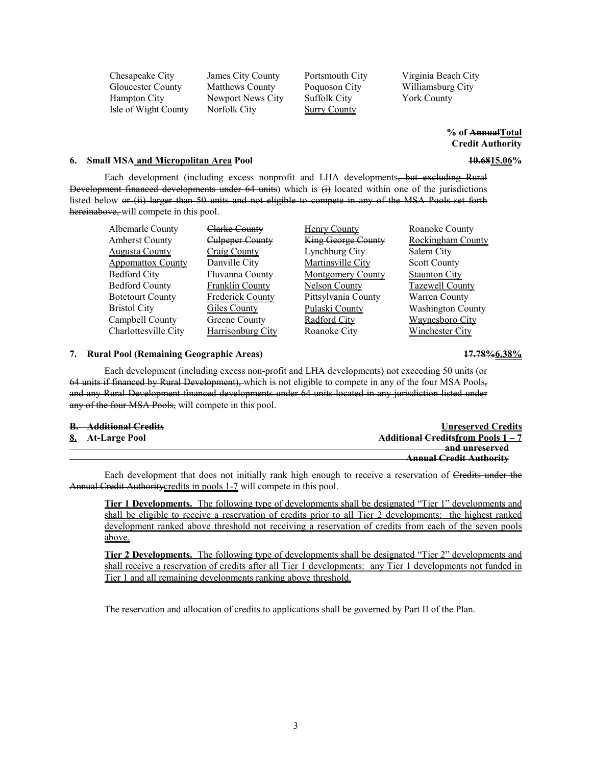Gloucester County Matthews County Poquoson City Williamsburg City Hampton City Newport News City Suffolk City York County Isle of Wight County Norfolk City Surry County

Chesapeake City James City County Portsmouth City Virginia Beach City

**% of AnnualTotal Credit Authority** 

### **6. Small MSA and Micropolitan Area Pool 10.6815.06%**

Each development (including excess nonprofit and LHA developments, but excluding Rural Development financed developments under 64 units) which is (i) located within one of the jurisdictions listed below or (ii) larger than 50 units and not eligible to compete in any of the MSA Pools set forth hereinabove, will compete in this pool.

| Albemarle County         | <del>Clarke County</del> | <b>Henry County</b>      | Roanoke County           |
|--------------------------|--------------------------|--------------------------|--------------------------|
| <b>Amherst County</b>    | Culpeper County          | King George County       | <b>Rockingham County</b> |
| <b>Augusta County</b>    | Craig County             | Lynchburg City           | Salem City               |
| <b>Appomattox County</b> | Danville City            | Martinsville City        | <b>Scott County</b>      |
| <b>Bedford City</b>      | Fluvanna County          | <b>Montgomery County</b> | <b>Staunton City</b>     |
| <b>Bedford County</b>    | <b>Franklin County</b>   | <b>Nelson County</b>     | <b>Tazewell County</b>   |
| <b>Botetourt County</b>  | <b>Frederick County</b>  | Pittsylvania County      | Warren County            |
| <b>Bristol City</b>      | Giles County             | Pulaski County           | <b>Washington County</b> |
| Campbell County          | Greene County            | Radford City             | Waynesboro City          |
| Charlottesville City     | <b>Harrisonburg City</b> | Roanoke City             | Winchester Citv          |

# **7. Rural Pool (Remaining Geographic Areas) 17.78%6.38%**

Each development (including excess non-profit and LHA developments) not exceeding 50 units (or 64 units if financed by Rural Development), which is not eligible to compete in any of the four MSA Pools, and any Rural Development financed developments under 64 units located in any jurisdiction listed under any of the four MSA Pools, will compete in this pool.

| <b>Additional Credits</b><br>$\mathbf{r}$ | <b>Unreserved Credits</b>                   |
|-------------------------------------------|---------------------------------------------|
| 8. At-Large Pool                          | <b>Additional Creditsfrom Pools 1-7</b>     |
|                                           | and unreserved<br><del>anu um escrveu</del> |
|                                           | <b>Annual Credit Authority</b>              |

Each development that does not initially rank high enough to receive a reservation of Credits under the Annual Credit Authority credits in pools 1-7 will compete in this pool.

**Tier 1 Developments.** The following type of developments shall be designated "Tier 1" developments and shall be eligible to receive a reservation of credits prior to all Tier 2 developments: the highest ranked development ranked above threshold not receiving a reservation of credits from each of the seven pools above.

**Tier 2 Developments.** The following type of developments shall be designated "Tier 2" developments and shall receive a reservation of credits after all Tier 1 developments: any Tier 1 developments not funded in Tier 1 and all remaining developments ranking above threshold.

The reservation and allocation of credits to applications shall be governed by Part II of the Plan.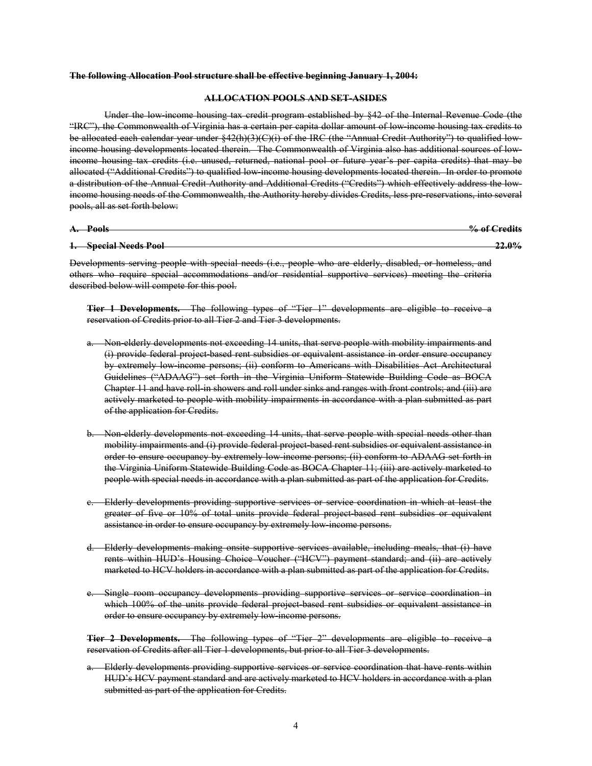#### **The following Allocation Pool structure shall be effective beginning January 1, 2004:**

### **ALLOCATION POOLS AND SET-ASIDES**

Under the low-income housing tax credit program established by §42 of the Internal Revenue Code (the "IRC"), the Commonwealth of Virginia has a certain per capita dollar amount of low-income housing tax credits to be allocated each calendar year under §42(h)(3)(C)(i) of the IRC (the "Annual Credit Authority") to qualified lowincome housing developments located therein. The Commonwealth of Virginia also has additional sources of lowincome housing tax credits (i.e. unused, returned, national pool or future year's per capita credits) that may be allocated ("Additional Credits") to qualified low-income housing developments located therein. In order to promote a distribution of the Annual Credit Authority and Additional Credits ("Credits") which effectively address the lowincome housing needs of the Commonwealth, the Authority hereby divides Credits, less pre-reservations, into several pools, all as set forth below:

| Poole<br>$\lambda$   | $0/2$ of<br>reditc      |
|----------------------|-------------------------|
| ₩ш<br>$\overline{1}$ | <del>70 or Greuns</del> |
|                      |                         |

# **1. Special Needs Pool 22.0%**

Developments serving people with special needs (i.e., people who are elderly, disabled, or homeless, and others who require special accommodations and/or residential supportive services) meeting the criteria described below will compete for this pool.

**Tier 1 Developments.** The following types of "Tier 1" developments are eligible to receive a reservation of Credits prior to all Tier 2 and Tier 3 developments.

- a. Non-elderly developments not exceeding 14 units, that serve people with mobility impairments and (i) provide federal project-based rent subsidies or equivalent assistance in order ensure occupancy by extremely low-income persons; (ii) conform to Americans with Disabilities Act Architectural Guidelines ("ADAAG") set forth in the Virginia Uniform Statewide Building Code as BOCA Chapter 11 and have roll-in showers and roll under sinks and ranges with front controls; and (iii) are actively marketed to people with mobility impairments in accordance with a plan submitted as part of the application for Credits.
- b. Non-elderly developments not exceeding 14 units, that serve people with special needs other than mobility impairments and (i) provide federal project based rent subsidies or equivalent assistance in order to ensure occupancy by extremely low-income persons; (ii) conform to ADAAG set forth in the Virginia Uniform Statewide Building Code as BOCA Chapter 11; (iii) are actively marketed to people with special needs in accordance with a plan submitted as part of the application for Credits.
- c. Elderly developments providing supportive services or service coordination in which at least the greater of five or 10% of total units provide federal project-based rent subsidies or equivalent assistance in order to ensure occupancy by extremely low-income persons.
- d. Elderly developments making onsite supportive services available, including meals, that (i) have rents within HUD's Housing Choice Voucher ("HCV") payment standard; and (ii) are actively marketed to HCV holders in accordance with a plan submitted as part of the application for Credits.
- e. Single room occupancy developments providing supportive services or service coordination in which 100% of the units provide federal project based rent subsidies or equivalent assistance in order to ensure occupancy by extremely low-income persons.

**Tier 2 Developments.** The following types of "Tier 2" developments are eligible to receive a reservation of Credits after all Tier 1 developments, but prior to all Tier 3 developments.

a. Elderly developments providing supportive services or service coordination that have rents within HUD's HCV payment standard and are actively marketed to HCV holders in accordance with a plan submitted as part of the application for Credits.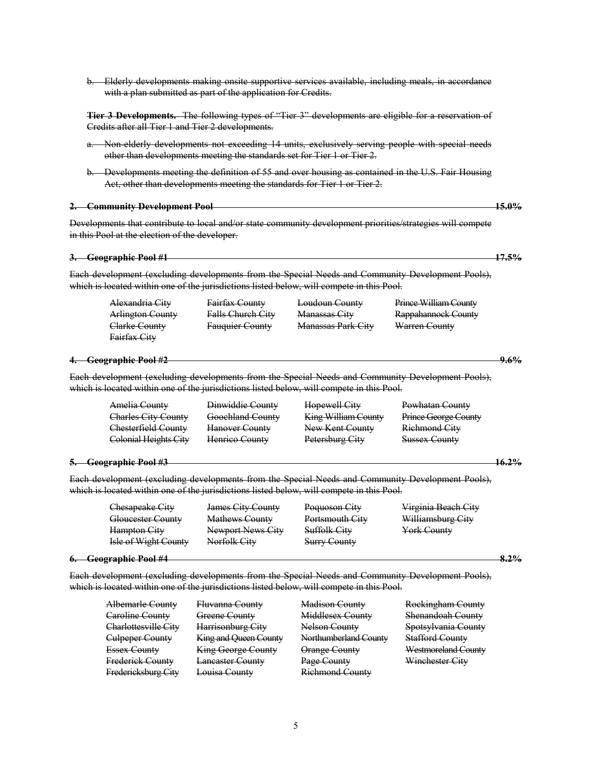- Act, other than developments meeting the standards for Tier 1 or Tier 2. **2. Community Development Pool 15.0% 3. Geographic Pool #1 17.5%** Alexandria City Fairfax County Loudoun County Prince William County Arlington County Falls Church City Manassas City Rappahannock County Clarke County Fauquier County Manassas Park City Warren County Fairfax City **4. Geographic Pool #2 9.6%** Amelia County Dinwiddie County Hopewell City Powhatan County Charles City County Goochland County King William County Prince George County Chesterfield County Hanover County New Kent County Richmond City Colonial Heights City Henrico County Petersburg City Sussex County **5. Geographic Pool #3 16.2%** Chesapeake City James City County Poquoson City Virginia Beach City Gloucester County Mathews County Portsmouth City Williamsburg City Hampton City Newport News City Suffolk City York County Isle of Wight County Norfolk City Surry County **6. Geographic Pool #4 8.2%** Each development (excluding developments from the Special Needs and Community Development Pools), Albemarle County Fluvanna County Madison County Rockingham County Caroline County Greene County Middlesex County Shenandoah County Charlottesville City Harrisonburg City Nelson County Spotsylvania County Culpeper County King and Queen County Northumberland County Stafford County Essex County King George County Orange County Westmoreland County Frederick County Lancaster County Page County Winchester City
- 

Developments that contribute to local and/or state community development priorities/strategies will compete in this Pool at the election of the developer.

Each development (excluding developments from the Special Needs and Community Development Pools), which is located within one of the jurisdictions listed below, will compete in this Pool.

| Coographic Pool #2                                      |  |
|---------------------------------------------------------|--|
| $\overline{\text{Cov}}$ applied $\overline{\text{Cov}}$ |  |

Each development (excluding developments from the Special Needs and Community Development Pools), which is located within one of the jurisdictions listed below, will compete in this Pool.

Each development (excluding developments from the Special Needs and Community Development Pools), which is located within one of the jurisdictions listed below, will compete in this Pool.

| ۰. |  | $\sigma$ <sub>c</sub> raphic room |  |  |
|----|--|-----------------------------------|--|--|
|    |  |                                   |  |  |

which is located within one of the jurisdictions listed below, will compete in this Pool.

Fredericksburg City Louisa County Richmond County

b. Elderly developments making onsite supportive services available, including meals, in accordance with a plan submitted as part of the application for Credits.

**Tier 3 Developments.** The following types of "Tier 3" developments are eligible for a reservation of

Credits after all Tier 1 and Tier 2 developments.

- a. Non-elderly developments not exceeding 14 units, exclusively serving people with special needs other than developments meeting the standards set for Tier 1 or Tier 2.
- b. Developments meeting the definition of 55 and over housing as contained in the U.S. Fair Housing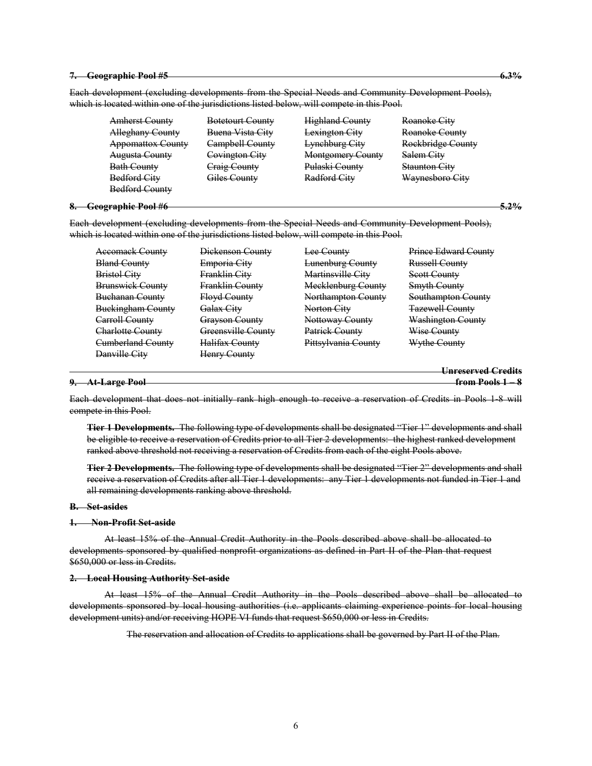#### **7. Geographic Pool #5 6.3%**

Each development (excluding developments from the Special Needs and Community Development Pools), which is located within one of the jurisdictions listed below, will compete in this Pool.

Amherst County Botetourt County Highland County Roanoke City Alleghany County Buena Vista City Lexington City Roanoke County Appomattox County Campbell County Lynchburg City Rockbridge County Augusta County Covington City Montgomery County Salem City Bath County Craig County Pulaski County Staunton City Bedford City Giles County Radford City Waynesboro City Bedford County

### **8. Geographic Pool #6 5.2%**

Each development (excluding developments from the Special Needs and Community Development Pools), which is located within one of the jurisdictions listed below, will compete in this Pool.

| <b>Accomack County</b>   | Dickenson County          | Lee County              | <b>Prince Edward County</b> |
|--------------------------|---------------------------|-------------------------|-----------------------------|
| <b>Bland County</b>      | Emporia City              | <b>Lunenburg County</b> | <b>Russell County</b>       |
| <b>Bristol City</b>      | Franklin City             | Martinsville City       | Scott County                |
| <b>Brunswick County</b>  | Franklin County           | Mecklenburg County      | <b>Smyth County</b>         |
| <b>Buchanan County</b>   | <b>Floyd County</b>       | Northampton County      | <b>Southampton County</b>   |
| <b>Buckingham County</b> | <del>Galax Citv</del>     | Norton City             | <b>Tazewell County</b>      |
| Carroll County           | <del>Grayson County</del> | Nottoway County         | <b>Washington County</b>    |
| Charlotte County         | Greensville County        | Patrick County          | Wise County                 |
| <b>Cumberland County</b> | Halifax County            | Pittsylvania County     | Wythe County                |
| Danville City            | <b>Henry County</b>       |                         |                             |
|                          |                           |                         | Unreserved Credits          |

# **9. At-Large Pool from Pools 1 – 8**

Each development that does not initially rank high enough to receive a reservation of Credits in Pools 1-8 will compete in this Pool.

**Tier 1 Developments.** The following type of developments shall be designated "Tier 1" developments and shall be eligible to receive a reservation of Credits prior to all Tier 2 developments: the highest ranked development ranked above threshold not receiving a reservation of Credits from each of the eight Pools above.

**Tier 2 Developments.** The following type of developments shall be designated "Tier 2" developments and shall receive a reservation of Credits after all Tier 1 developments: any Tier 1 developments not funded in Tier 1 and all remaining developments ranking above threshold.

#### **B. Set-asides**

#### **1. Non-Profit Set-aside**

At least 15% of the Annual Credit Authority in the Pools described above shall be allocated to developments sponsored by qualified nonprofit organizations as defined in Part II of the Plan that request \$650,000 or less in Credits.

#### **2. Local Housing Authority Set-aside**

At least 15% of the Annual Credit Authority in the Pools described above shall be allocated to developments sponsored by local housing authorities (i.e. applicants claiming experience points for local housing development units) and/or receiving HOPE VI funds that request \$650,000 or less in Credits.

The reservation and allocation of Credits to applications shall be governed by Part II of the Plan.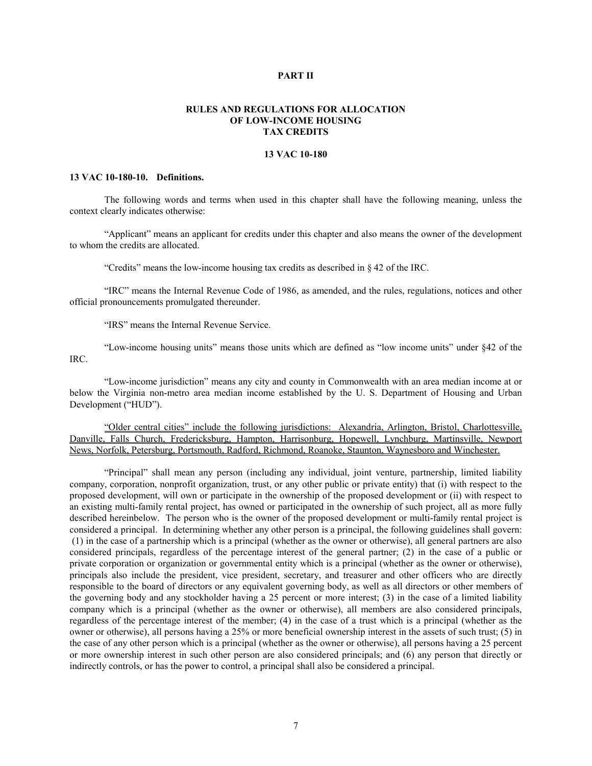# **PART II**

# **RULES AND REGULATIONS FOR ALLOCATION OF LOW-INCOME HOUSING TAX CREDITS**

# **13 VAC 10-180**

### **13 VAC 10-180-10. Definitions.**

The following words and terms when used in this chapter shall have the following meaning, unless the context clearly indicates otherwise:

"Applicant" means an applicant for credits under this chapter and also means the owner of the development to whom the credits are allocated.

"Credits" means the low-income housing tax credits as described in § 42 of the IRC.

"IRC" means the Internal Revenue Code of 1986, as amended, and the rules, regulations, notices and other official pronouncements promulgated thereunder.

"IRS" means the Internal Revenue Service.

"Low-income housing units" means those units which are defined as "low income units" under §42 of the IRC.

"Low-income jurisdiction" means any city and county in Commonwealth with an area median income at or below the Virginia non-metro area median income established by the U. S. Department of Housing and Urban Development ("HUD").

"Older central cities" include the following jurisdictions: Alexandria, Arlington, Bristol, Charlottesville, Danville, Falls Church, Fredericksburg, Hampton, Harrisonburg, Hopewell, Lynchburg, Martinsville, Newport News, Norfolk, Petersburg, Portsmouth, Radford, Richmond, Roanoke, Staunton, Waynesboro and Winchester.

"Principal" shall mean any person (including any individual, joint venture, partnership, limited liability company, corporation, nonprofit organization, trust, or any other public or private entity) that (i) with respect to the proposed development, will own or participate in the ownership of the proposed development or (ii) with respect to an existing multi-family rental project, has owned or participated in the ownership of such project, all as more fully described hereinbelow. The person who is the owner of the proposed development or multi-family rental project is considered a principal. In determining whether any other person is a principal, the following guidelines shall govern: (1) in the case of a partnership which is a principal (whether as the owner or otherwise), all general partners are also considered principals, regardless of the percentage interest of the general partner; (2) in the case of a public or private corporation or organization or governmental entity which is a principal (whether as the owner or otherwise), principals also include the president, vice president, secretary, and treasurer and other officers who are directly responsible to the board of directors or any equivalent governing body, as well as all directors or other members of the governing body and any stockholder having a 25 percent or more interest; (3) in the case of a limited liability company which is a principal (whether as the owner or otherwise), all members are also considered principals, regardless of the percentage interest of the member; (4) in the case of a trust which is a principal (whether as the owner or otherwise), all persons having a 25% or more beneficial ownership interest in the assets of such trust; (5) in the case of any other person which is a principal (whether as the owner or otherwise), all persons having a 25 percent or more ownership interest in such other person are also considered principals; and (6) any person that directly or indirectly controls, or has the power to control, a principal shall also be considered a principal.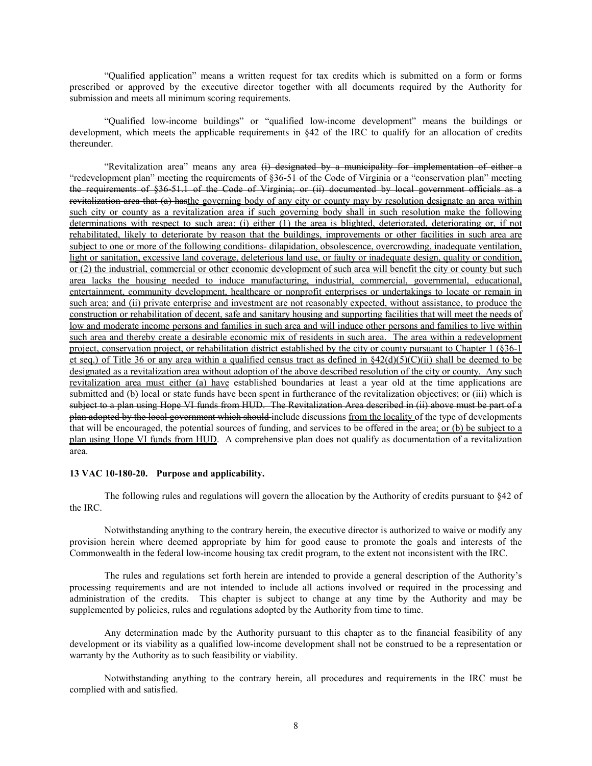"Qualified application" means a written request for tax credits which is submitted on a form or forms prescribed or approved by the executive director together with all documents required by the Authority for submission and meets all minimum scoring requirements.

"Qualified low-income buildings" or "qualified low-income development" means the buildings or development, which meets the applicable requirements in §42 of the IRC to qualify for an allocation of credits thereunder.

"Revitalization area" means any area (i) designated by a municipality for implementation of either a "redevelopment plan" meeting the requirements of §36-51 of the Code of Virginia or a "conservation plan" meeting the requirements of §36-51.1 of the Code of Virginia; or (ii) documented by local government officials as a revitalization area that (a) hasthe governing body of any city or county may by resolution designate an area within such city or county as a revitalization area if such governing body shall in such resolution make the following determinations with respect to such area: (i) either (1) the area is blighted, deteriorated, deteriorating or, if not rehabilitated, likely to deteriorate by reason that the buildings, improvements or other facilities in such area are subject to one or more of the following conditions- dilapidation, obsolescence, overcrowding, inadequate ventilation, light or sanitation, excessive land coverage, deleterious land use, or faulty or inadequate design, quality or condition, or (2) the industrial, commercial or other economic development of such area will benefit the city or county but such area lacks the housing needed to induce manufacturing, industrial, commercial, governmental, educational, entertainment, community development, healthcare or nonprofit enterprises or undertakings to locate or remain in such area; and (ii) private enterprise and investment are not reasonably expected, without assistance, to produce the construction or rehabilitation of decent, safe and sanitary housing and supporting facilities that will meet the needs of low and moderate income persons and families in such area and will induce other persons and families to live within such area and thereby create a desirable economic mix of residents in such area. The area within a redevelopment project, conservation project, or rehabilitation district established by the city or county pursuant to Chapter 1 (§36-1 et seq.) of Title 36 or any area within a qualified census tract as defined in  $\frac{42(d)(5)(C)(ii)}{2}$  shall be deemed to be designated as a revitalization area without adoption of the above described resolution of the city or county. Any such revitalization area must either (a) have established boundaries at least a year old at the time applications are submitted and (b) local or state funds have been spent in furtherance of the revitalization objectives; or (iii) which is subject to a plan using Hope VI funds from HUD. The Revitalization Area described in (ii) above must be part of a plan adopted by the local government which should include discussions from the locality of the type of developments that will be encouraged, the potential sources of funding, and services to be offered in the area; or (b) be subject to a plan using Hope VI funds from HUD. A comprehensive plan does not qualify as documentation of a revitalization area.

# **13 VAC 10-180-20. Purpose and applicability.**

The following rules and regulations will govern the allocation by the Authority of credits pursuant to §42 of the IRC.

Notwithstanding anything to the contrary herein, the executive director is authorized to waive or modify any provision herein where deemed appropriate by him for good cause to promote the goals and interests of the Commonwealth in the federal low-income housing tax credit program, to the extent not inconsistent with the IRC.

The rules and regulations set forth herein are intended to provide a general description of the Authority's processing requirements and are not intended to include all actions involved or required in the processing and administration of the credits. This chapter is subject to change at any time by the Authority and may be supplemented by policies, rules and regulations adopted by the Authority from time to time.

Any determination made by the Authority pursuant to this chapter as to the financial feasibility of any development or its viability as a qualified low-income development shall not be construed to be a representation or warranty by the Authority as to such feasibility or viability.

Notwithstanding anything to the contrary herein, all procedures and requirements in the IRC must be complied with and satisfied.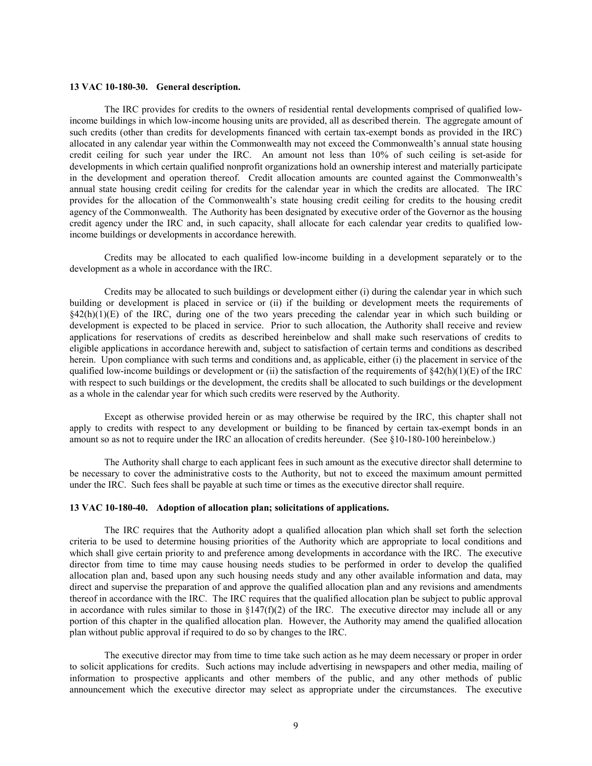### **13 VAC 10-180-30. General description.**

The IRC provides for credits to the owners of residential rental developments comprised of qualified lowincome buildings in which low-income housing units are provided, all as described therein. The aggregate amount of such credits (other than credits for developments financed with certain tax-exempt bonds as provided in the IRC) allocated in any calendar year within the Commonwealth may not exceed the Commonwealth's annual state housing credit ceiling for such year under the IRC. An amount not less than 10% of such ceiling is set-aside for developments in which certain qualified nonprofit organizations hold an ownership interest and materially participate in the development and operation thereof. Credit allocation amounts are counted against the Commonwealth's annual state housing credit ceiling for credits for the calendar year in which the credits are allocated. The IRC provides for the allocation of the Commonwealth's state housing credit ceiling for credits to the housing credit agency of the Commonwealth. The Authority has been designated by executive order of the Governor as the housing credit agency under the IRC and, in such capacity, shall allocate for each calendar year credits to qualified lowincome buildings or developments in accordance herewith.

Credits may be allocated to each qualified low-income building in a development separately or to the development as a whole in accordance with the IRC.

Credits may be allocated to such buildings or development either (i) during the calendar year in which such building or development is placed in service or (ii) if the building or development meets the requirements of  $§42(h)(1)(E)$  of the IRC, during one of the two years preceding the calendar year in which such building or development is expected to be placed in service. Prior to such allocation, the Authority shall receive and review applications for reservations of credits as described hereinbelow and shall make such reservations of credits to eligible applications in accordance herewith and, subject to satisfaction of certain terms and conditions as described herein. Upon compliance with such terms and conditions and, as applicable, either (i) the placement in service of the qualified low-income buildings or development or (ii) the satisfaction of the requirements of  $\S42(h)(1)(E)$  of the IRC with respect to such buildings or the development, the credits shall be allocated to such buildings or the development as a whole in the calendar year for which such credits were reserved by the Authority.

Except as otherwise provided herein or as may otherwise be required by the IRC, this chapter shall not apply to credits with respect to any development or building to be financed by certain tax-exempt bonds in an amount so as not to require under the IRC an allocation of credits hereunder. (See §10-180-100 hereinbelow.)

The Authority shall charge to each applicant fees in such amount as the executive director shall determine to be necessary to cover the administrative costs to the Authority, but not to exceed the maximum amount permitted under the IRC. Such fees shall be payable at such time or times as the executive director shall require.

# **13 VAC 10-180-40. Adoption of allocation plan; solicitations of applications.**

The IRC requires that the Authority adopt a qualified allocation plan which shall set forth the selection criteria to be used to determine housing priorities of the Authority which are appropriate to local conditions and which shall give certain priority to and preference among developments in accordance with the IRC. The executive director from time to time may cause housing needs studies to be performed in order to develop the qualified allocation plan and, based upon any such housing needs study and any other available information and data, may direct and supervise the preparation of and approve the qualified allocation plan and any revisions and amendments thereof in accordance with the IRC. The IRC requires that the qualified allocation plan be subject to public approval in accordance with rules similar to those in  $\S147(f)(2)$  of the IRC. The executive director may include all or any portion of this chapter in the qualified allocation plan. However, the Authority may amend the qualified allocation plan without public approval if required to do so by changes to the IRC.

The executive director may from time to time take such action as he may deem necessary or proper in order to solicit applications for credits. Such actions may include advertising in newspapers and other media, mailing of information to prospective applicants and other members of the public, and any other methods of public announcement which the executive director may select as appropriate under the circumstances. The executive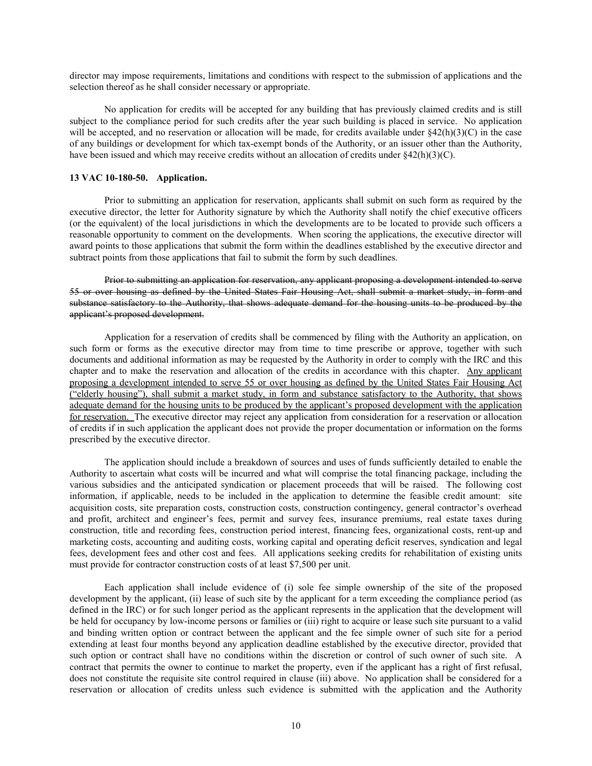director may impose requirements, limitations and conditions with respect to the submission of applications and the selection thereof as he shall consider necessary or appropriate.

No application for credits will be accepted for any building that has previously claimed credits and is still subject to the compliance period for such credits after the year such building is placed in service. No application will be accepted, and no reservation or allocation will be made, for credits available under  $\frac{842(h)(3)(C)}{h}$  in the case of any buildings or development for which tax-exempt bonds of the Authority, or an issuer other than the Authority, have been issued and which may receive credits without an allocation of credits under §42(h)(3)(C).

# **13 VAC 10-180-50. Application.**

Prior to submitting an application for reservation, applicants shall submit on such form as required by the executive director, the letter for Authority signature by which the Authority shall notify the chief executive officers (or the equivalent) of the local jurisdictions in which the developments are to be located to provide such officers a reasonable opportunity to comment on the developments. When scoring the applications, the executive director will award points to those applications that submit the form within the deadlines established by the executive director and subtract points from those applications that fail to submit the form by such deadlines.

Prior to submitting an application for reservation, any applicant proposing a development intended to serve 55 or over housing as defined by the United States Fair Housing Act, shall submit a market study, in form and substance satisfactory to the Authority, that shows adequate demand for the housing units to be produced by the applicant's proposed development.

Application for a reservation of credits shall be commenced by filing with the Authority an application, on such form or forms as the executive director may from time to time prescribe or approve, together with such documents and additional information as may be requested by the Authority in order to comply with the IRC and this chapter and to make the reservation and allocation of the credits in accordance with this chapter. Any applicant proposing a development intended to serve 55 or over housing as defined by the United States Fair Housing Act ("elderly housing"), shall submit a market study, in form and substance satisfactory to the Authority, that shows adequate demand for the housing units to be produced by the applicant's proposed development with the application for reservation. The executive director may reject any application from consideration for a reservation or allocation of credits if in such application the applicant does not provide the proper documentation or information on the forms prescribed by the executive director.

The application should include a breakdown of sources and uses of funds sufficiently detailed to enable the Authority to ascertain what costs will be incurred and what will comprise the total financing package, including the various subsidies and the anticipated syndication or placement proceeds that will be raised. The following cost information, if applicable, needs to be included in the application to determine the feasible credit amount: site acquisition costs, site preparation costs, construction costs, construction contingency, general contractor's overhead and profit, architect and engineer's fees, permit and survey fees, insurance premiums, real estate taxes during construction, title and recording fees, construction period interest, financing fees, organizational costs, rent-up and marketing costs, accounting and auditing costs, working capital and operating deficit reserves, syndication and legal fees, development fees and other cost and fees. All applications seeking credits for rehabilitation of existing units must provide for contractor construction costs of at least \$7,500 per unit.

Each application shall include evidence of (i) sole fee simple ownership of the site of the proposed development by the applicant, (ii) lease of such site by the applicant for a term exceeding the compliance period (as defined in the IRC) or for such longer period as the applicant represents in the application that the development will be held for occupancy by low-income persons or families or (iii) right to acquire or lease such site pursuant to a valid and binding written option or contract between the applicant and the fee simple owner of such site for a period extending at least four months beyond any application deadline established by the executive director, provided that such option or contract shall have no conditions within the discretion or control of such owner of such site. A contract that permits the owner to continue to market the property, even if the applicant has a right of first refusal, does not constitute the requisite site control required in clause (iii) above. No application shall be considered for a reservation or allocation of credits unless such evidence is submitted with the application and the Authority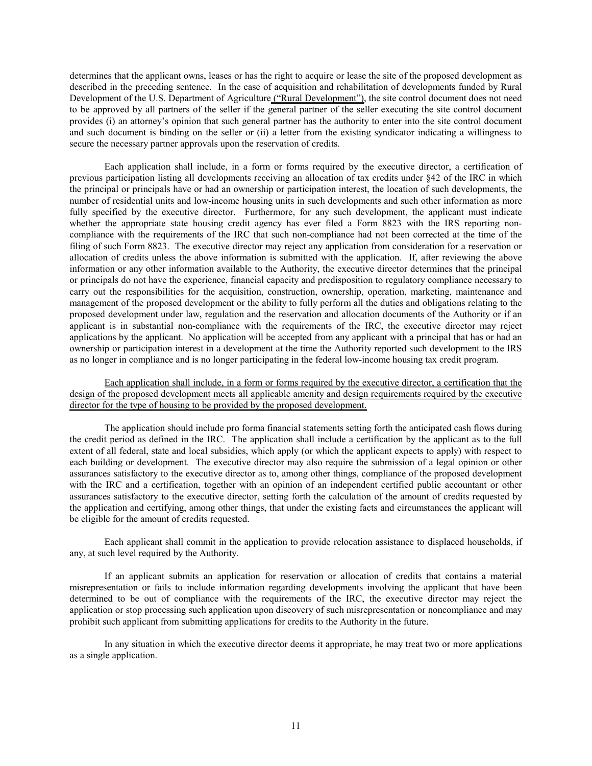determines that the applicant owns, leases or has the right to acquire or lease the site of the proposed development as described in the preceding sentence. In the case of acquisition and rehabilitation of developments funded by Rural Development of the U.S. Department of Agriculture ("Rural Development"), the site control document does not need to be approved by all partners of the seller if the general partner of the seller executing the site control document provides (i) an attorney's opinion that such general partner has the authority to enter into the site control document and such document is binding on the seller or (ii) a letter from the existing syndicator indicating a willingness to secure the necessary partner approvals upon the reservation of credits.

Each application shall include, in a form or forms required by the executive director, a certification of previous participation listing all developments receiving an allocation of tax credits under §42 of the IRC in which the principal or principals have or had an ownership or participation interest, the location of such developments, the number of residential units and low-income housing units in such developments and such other information as more fully specified by the executive director. Furthermore, for any such development, the applicant must indicate whether the appropriate state housing credit agency has ever filed a Form 8823 with the IRS reporting noncompliance with the requirements of the IRC that such non-compliance had not been corrected at the time of the filing of such Form 8823. The executive director may reject any application from consideration for a reservation or allocation of credits unless the above information is submitted with the application. If, after reviewing the above information or any other information available to the Authority, the executive director determines that the principal or principals do not have the experience, financial capacity and predisposition to regulatory compliance necessary to carry out the responsibilities for the acquisition, construction, ownership, operation, marketing, maintenance and management of the proposed development or the ability to fully perform all the duties and obligations relating to the proposed development under law, regulation and the reservation and allocation documents of the Authority or if an applicant is in substantial non-compliance with the requirements of the IRC, the executive director may reject applications by the applicant. No application will be accepted from any applicant with a principal that has or had an ownership or participation interest in a development at the time the Authority reported such development to the IRS as no longer in compliance and is no longer participating in the federal low-income housing tax credit program.

# Each application shall include, in a form or forms required by the executive director, a certification that the design of the proposed development meets all applicable amenity and design requirements required by the executive director for the type of housing to be provided by the proposed development.

The application should include pro forma financial statements setting forth the anticipated cash flows during the credit period as defined in the IRC. The application shall include a certification by the applicant as to the full extent of all federal, state and local subsidies, which apply (or which the applicant expects to apply) with respect to each building or development. The executive director may also require the submission of a legal opinion or other assurances satisfactory to the executive director as to, among other things, compliance of the proposed development with the IRC and a certification, together with an opinion of an independent certified public accountant or other assurances satisfactory to the executive director, setting forth the calculation of the amount of credits requested by the application and certifying, among other things, that under the existing facts and circumstances the applicant will be eligible for the amount of credits requested.

Each applicant shall commit in the application to provide relocation assistance to displaced households, if any, at such level required by the Authority.

If an applicant submits an application for reservation or allocation of credits that contains a material misrepresentation or fails to include information regarding developments involving the applicant that have been determined to be out of compliance with the requirements of the IRC, the executive director may reject the application or stop processing such application upon discovery of such misrepresentation or noncompliance and may prohibit such applicant from submitting applications for credits to the Authority in the future.

In any situation in which the executive director deems it appropriate, he may treat two or more applications as a single application.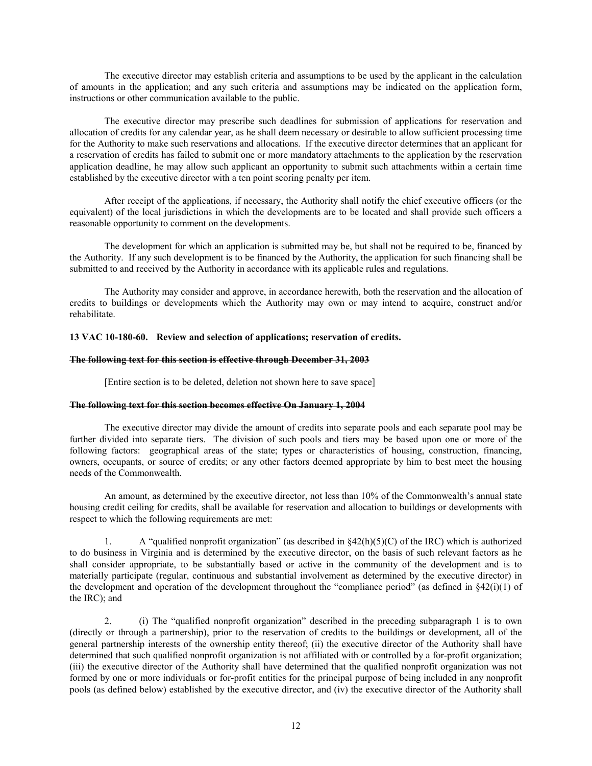The executive director may establish criteria and assumptions to be used by the applicant in the calculation of amounts in the application; and any such criteria and assumptions may be indicated on the application form, instructions or other communication available to the public.

The executive director may prescribe such deadlines for submission of applications for reservation and allocation of credits for any calendar year, as he shall deem necessary or desirable to allow sufficient processing time for the Authority to make such reservations and allocations. If the executive director determines that an applicant for a reservation of credits has failed to submit one or more mandatory attachments to the application by the reservation application deadline, he may allow such applicant an opportunity to submit such attachments within a certain time established by the executive director with a ten point scoring penalty per item.

After receipt of the applications, if necessary, the Authority shall notify the chief executive officers (or the equivalent) of the local jurisdictions in which the developments are to be located and shall provide such officers a reasonable opportunity to comment on the developments.

The development for which an application is submitted may be, but shall not be required to be, financed by the Authority. If any such development is to be financed by the Authority, the application for such financing shall be submitted to and received by the Authority in accordance with its applicable rules and regulations.

The Authority may consider and approve, in accordance herewith, both the reservation and the allocation of credits to buildings or developments which the Authority may own or may intend to acquire, construct and/or rehabilitate.

# **13 VAC 10-180-60. Review and selection of applications; reservation of credits.**

# **The following text for this section is effective through December 31, 2003**

[Entire section is to be deleted, deletion not shown here to save space]

# **The following text for this section becomes effective On January 1, 2004**

The executive director may divide the amount of credits into separate pools and each separate pool may be further divided into separate tiers. The division of such pools and tiers may be based upon one or more of the following factors: geographical areas of the state; types or characteristics of housing, construction, financing, owners, occupants, or source of credits; or any other factors deemed appropriate by him to best meet the housing needs of the Commonwealth.

An amount, as determined by the executive director, not less than 10% of the Commonwealth's annual state housing credit ceiling for credits, shall be available for reservation and allocation to buildings or developments with respect to which the following requirements are met:

A "qualified nonprofit organization" (as described in  $\S42(h)(5)(C)$  of the IRC) which is authorized to do business in Virginia and is determined by the executive director, on the basis of such relevant factors as he shall consider appropriate, to be substantially based or active in the community of the development and is to materially participate (regular, continuous and substantial involvement as determined by the executive director) in the development and operation of the development throughout the "compliance period" (as defined in  $\S 42(i)(1)$  of the IRC); and

2. (i) The "qualified nonprofit organization" described in the preceding subparagraph 1 is to own (directly or through a partnership), prior to the reservation of credits to the buildings or development, all of the general partnership interests of the ownership entity thereof; (ii) the executive director of the Authority shall have determined that such qualified nonprofit organization is not affiliated with or controlled by a for-profit organization; (iii) the executive director of the Authority shall have determined that the qualified nonprofit organization was not formed by one or more individuals or for-profit entities for the principal purpose of being included in any nonprofit pools (as defined below) established by the executive director, and (iv) the executive director of the Authority shall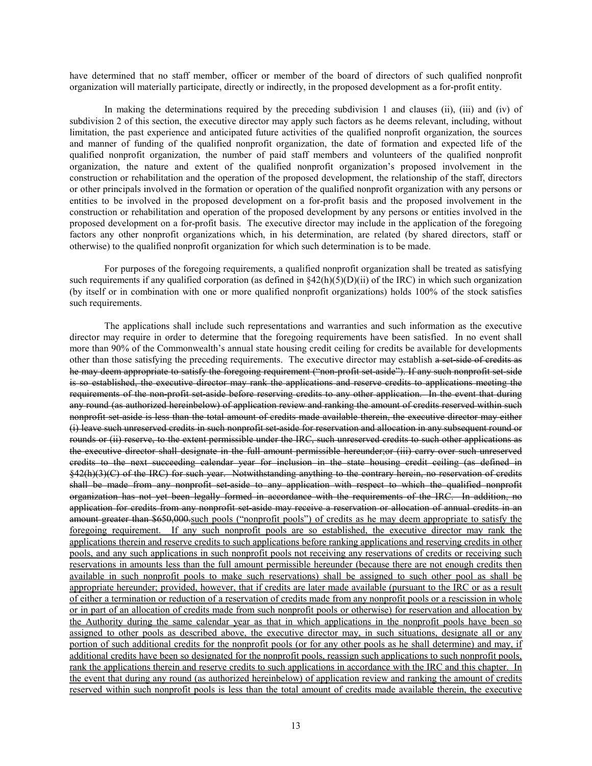have determined that no staff member, officer or member of the board of directors of such qualified nonprofit organization will materially participate, directly or indirectly, in the proposed development as a for-profit entity.

In making the determinations required by the preceding subdivision 1 and clauses (ii), (iii) and (iv) of subdivision 2 of this section, the executive director may apply such factors as he deems relevant, including, without limitation, the past experience and anticipated future activities of the qualified nonprofit organization, the sources and manner of funding of the qualified nonprofit organization, the date of formation and expected life of the qualified nonprofit organization, the number of paid staff members and volunteers of the qualified nonprofit organization, the nature and extent of the qualified nonprofit organization's proposed involvement in the construction or rehabilitation and the operation of the proposed development, the relationship of the staff, directors or other principals involved in the formation or operation of the qualified nonprofit organization with any persons or entities to be involved in the proposed development on a for-profit basis and the proposed involvement in the construction or rehabilitation and operation of the proposed development by any persons or entities involved in the proposed development on a for-profit basis. The executive director may include in the application of the foregoing factors any other nonprofit organizations which, in his determination, are related (by shared directors, staff or otherwise) to the qualified nonprofit organization for which such determination is to be made.

For purposes of the foregoing requirements, a qualified nonprofit organization shall be treated as satisfying such requirements if any qualified corporation (as defined in  $\S42(h)(5)(D)(ii)$  of the IRC) in which such organization (by itself or in combination with one or more qualified nonprofit organizations) holds 100% of the stock satisfies such requirements.

The applications shall include such representations and warranties and such information as the executive director may require in order to determine that the foregoing requirements have been satisfied. In no event shall more than 90% of the Commonwealth's annual state housing credit ceiling for credits be available for developments other than those satisfying the preceding requirements. The executive director may establish a set-side of credits as he may deem appropriate to satisfy the foregoing requirement ("non-profit set-aside"). If any such nonprofit set-side is so established, the executive director may rank the applications and reserve credits to applications meeting the requirements of the non-profit set-aside before reserving credits to any other application. In the event that during any round (as authorized hereinbelow) of application review and ranking the amount of credits reserved within such nonprofit set aside is less than the total amount of credits made available therein, the executive director may either (i) leave such unreserved credits in such nonprofit set-aside for reservation and allocation in any subsequent round or rounds or (ii) reserve, to the extent permissible under the IRC, such unreserved credits to such other applications as the executive director shall designate in the full amount permissible hereunder;or (iii) carry over such unreserved credits to the next succeeding calendar year for inclusion in the state housing credit ceiling (as defined in §42(h)(3)(C) of the IRC) for such year. Notwithstanding anything to the contrary herein, no reservation of credits shall be made from any nonprofit set-aside to any application with respect to which the qualified nonprofit organization has not yet been legally formed in accordance with the requirements of the IRC. In addition, no application for credits from any nonprofit set-aside may receive a reservation or allocation of annual credits in an amount greater than \$650,000.such pools ("nonprofit pools") of credits as he may deem appropriate to satisfy the foregoing requirement. If any such nonprofit pools are so established, the executive director may rank the applications therein and reserve credits to such applications before ranking applications and reserving credits in other pools, and any such applications in such nonprofit pools not receiving any reservations of credits or receiving such reservations in amounts less than the full amount permissible hereunder (because there are not enough credits then available in such nonprofit pools to make such reservations) shall be assigned to such other pool as shall be appropriate hereunder; provided, however, that if credits are later made available (pursuant to the IRC or as a result of either a termination or reduction of a reservation of credits made from any nonprofit pools or a rescission in whole or in part of an allocation of credits made from such nonprofit pools or otherwise) for reservation and allocation by the Authority during the same calendar year as that in which applications in the nonprofit pools have been so assigned to other pools as described above, the executive director may, in such situations, designate all or any portion of such additional credits for the nonprofit pools (or for any other pools as he shall determine) and may, if additional credits have been so designated for the nonprofit pools, reassign such applications to such nonprofit pools, rank the applications therein and reserve credits to such applications in accordance with the IRC and this chapter. In the event that during any round (as authorized hereinbelow) of application review and ranking the amount of credits reserved within such nonprofit pools is less than the total amount of credits made available therein, the executive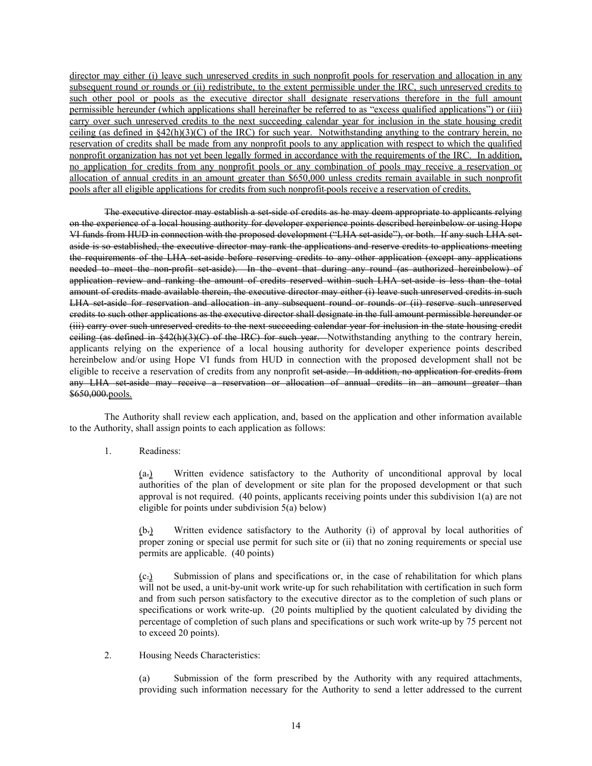director may either (i) leave such unreserved credits in such nonprofit pools for reservation and allocation in any subsequent round or rounds or (ii) redistribute, to the extent permissible under the IRC, such unreserved credits to such other pool or pools as the executive director shall designate reservations therefore in the full amount permissible hereunder (which applications shall hereinafter be referred to as "excess qualified applications") or (iii) carry over such unreserved credits to the next succeeding calendar year for inclusion in the state housing credit ceiling (as defined in  $\S42(h)(3)(C)$  of the IRC) for such year. Notwithstanding anything to the contrary herein, no reservation of credits shall be made from any nonprofit pools to any application with respect to which the qualified nonprofit organization has not yet been legally formed in accordance with the requirements of the IRC. In addition, no application for credits from any nonprofit pools or any combination of pools may receive a reservation or allocation of annual credits in an amount greater than \$650,000 unless credits remain available in such nonprofit pools after all eligible applications for credits from such nonprofit pools receive a reservation of credits.

The executive director may establish a set-side of credits as he may deem appropriate to applicants relying on the experience of a local housing authority for developer experience points described hereinbelow or using Hope VI funds from HUD in connection with the proposed development ("LHA set-aside"), or both. If any such LHA setaside is so established, the executive director may rank the applications and reserve credits to applications meeting the requirements of the LHA set-aside before reserving credits to any other application (except any applications needed to meet the non-profit set-aside). In the event that during any round (as authorized hereinbelow) of application review and ranking the amount of credits reserved within such LHA set-aside is less than the total amount of credits made available therein, the executive director may either (i) leave such unreserved credits in such LHA set-aside for reservation and allocation in any subsequent round or rounds or (ii) reserve such unreserved credits to such other applications as the executive director shall designate in the full amount permissible hereunder or (iii) carry over such unreserved credits to the next succeeding calendar year for inclusion in the state housing credit ceiling (as defined in §42(h)(3)(C) of the IRC) for such year. Notwithstanding anything to the contrary herein, applicants relying on the experience of a local housing authority for developer experience points described hereinbelow and/or using Hope VI funds from HUD in connection with the proposed development shall not be eligible to receive a reservation of credits from any nonprofit set aside. In addition, no application for credits from any LHA set-aside may receive a reservation or allocation of annual credits in an amount greater than \$650,000.pools.

The Authority shall review each application, and, based on the application and other information available to the Authority, shall assign points to each application as follows:

1. Readiness:

(a.) Written evidence satisfactory to the Authority of unconditional approval by local authorities of the plan of development or site plan for the proposed development or that such approval is not required. (40 points, applicants receiving points under this subdivision 1(a) are not eligible for points under subdivision 5(a) below)

(b.) Written evidence satisfactory to the Authority (i) of approval by local authorities of proper zoning or special use permit for such site or (ii) that no zoning requirements or special use permits are applicable. (40 points)

(c.) Submission of plans and specifications or, in the case of rehabilitation for which plans will not be used, a unit-by-unit work write-up for such rehabilitation with certification in such form and from such person satisfactory to the executive director as to the completion of such plans or specifications or work write-up. (20 points multiplied by the quotient calculated by dividing the percentage of completion of such plans and specifications or such work write-up by 75 percent not to exceed 20 points).

2. Housing Needs Characteristics:

(a) Submission of the form prescribed by the Authority with any required attachments, providing such information necessary for the Authority to send a letter addressed to the current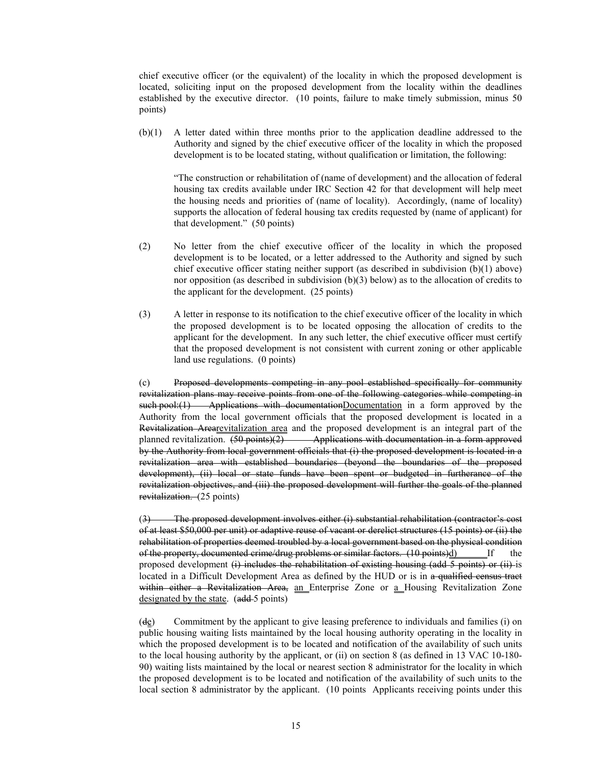chief executive officer (or the equivalent) of the locality in which the proposed development is located, soliciting input on the proposed development from the locality within the deadlines established by the executive director. (10 points, failure to make timely submission, minus 50 points)

(b)(1) A letter dated within three months prior to the application deadline addressed to the Authority and signed by the chief executive officer of the locality in which the proposed development is to be located stating, without qualification or limitation, the following:

"The construction or rehabilitation of (name of development) and the allocation of federal housing tax credits available under IRC Section 42 for that development will help meet the housing needs and priorities of (name of locality). Accordingly, (name of locality) supports the allocation of federal housing tax credits requested by (name of applicant) for that development." (50 points)

- (2) No letter from the chief executive officer of the locality in which the proposed development is to be located, or a letter addressed to the Authority and signed by such chief executive officer stating neither support (as described in subdivision (b)(1) above) nor opposition (as described in subdivision (b)(3) below) as to the allocation of credits to the applicant for the development. (25 points)
- (3) A letter in response to its notification to the chief executive officer of the locality in which the proposed development is to be located opposing the allocation of credits to the applicant for the development. In any such letter, the chief executive officer must certify that the proposed development is not consistent with current zoning or other applicable land use regulations. (0 points)

(c) Proposed developments competing in any pool established specifically for community revitalization plans may receive points from one of the following categories while competing in such pool: $(1)$  Applications with documentationDocumentation in a form approved by the Authority from the local government officials that the proposed development is located in a Revitalization Arearevitalization area and the proposed development is an integral part of the planned revitalization.  $(50 \text{ points})(2)$  Applications with documentation in a form approved by the Authority from local government officials that (i) the proposed development is located in a revitalization area with established boundaries (beyond the boundaries of the proposed development), (ii) local or state funds have been spent or budgeted in furtherance of the revitalization objectives, and (iii) the proposed development will further the goals of the planned revitalization. (25 points)

(3) The proposed development involves either (i) substantial rehabilitation (contractor's cost of at least \$50,000 per unit) or adaptive reuse of vacant or derelict structures (15 points) or (ii) the rehabilitation of properties deemed troubled by a local government based on the physical condition of the property, documented crime/drug problems or similar factors. (10 points)d) If the proposed development  $(i)$  includes the rehabilitation of existing housing (add 5 points) or  $(ii)$  is located in a Difficult Development Area as defined by the HUD or is in a qualified census tract within either a Revitalization Area, an Enterprise Zone or a Housing Revitalization Zone designated by the state. (add 5 points)

 $(d_{\mathcal{E}})$  Commitment by the applicant to give leasing preference to individuals and families (i) on public housing waiting lists maintained by the local housing authority operating in the locality in which the proposed development is to be located and notification of the availability of such units to the local housing authority by the applicant, or (ii) on section 8 (as defined in 13 VAC 10-180- 90) waiting lists maintained by the local or nearest section 8 administrator for the locality in which the proposed development is to be located and notification of the availability of such units to the local section 8 administrator by the applicant. (10 points Applicants receiving points under this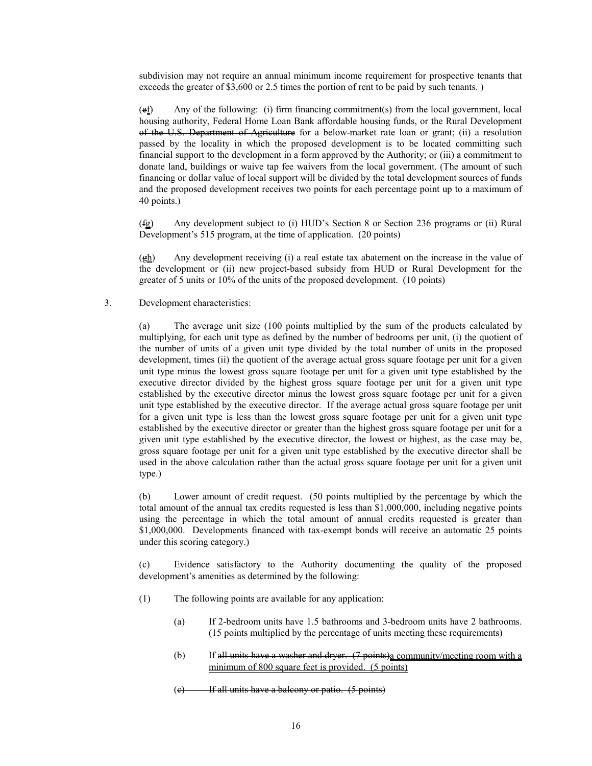subdivision may not require an annual minimum income requirement for prospective tenants that exceeds the greater of \$3,600 or 2.5 times the portion of rent to be paid by such tenants.)

(ef) Any of the following: (i) firm financing commitment(s) from the local government, local housing authority, Federal Home Loan Bank affordable housing funds, or the Rural Development of the U.S. Department of Agriculture for a below-market rate loan or grant; (ii) a resolution passed by the locality in which the proposed development is to be located committing such financial support to the development in a form approved by the Authority; or (iii) a commitment to donate land, buildings or waive tap fee waivers from the local government. (The amount of such financing or dollar value of local support will be divided by the total development sources of funds and the proposed development receives two points for each percentage point up to a maximum of 40 points.)

(fg) Any development subject to (i) HUD's Section 8 or Section 236 programs or (ii) Rural Development's 515 program, at the time of application. (20 points)

(gh) Any development receiving (i) a real estate tax abatement on the increase in the value of the development or (ii) new project-based subsidy from HUD or Rural Development for the greater of 5 units or 10% of the units of the proposed development. (10 points)

3. Development characteristics:

(a) The average unit size (100 points multiplied by the sum of the products calculated by multiplying, for each unit type as defined by the number of bedrooms per unit, (i) the quotient of the number of units of a given unit type divided by the total number of units in the proposed development, times (ii) the quotient of the average actual gross square footage per unit for a given unit type minus the lowest gross square footage per unit for a given unit type established by the executive director divided by the highest gross square footage per unit for a given unit type established by the executive director minus the lowest gross square footage per unit for a given unit type established by the executive director. If the average actual gross square footage per unit for a given unit type is less than the lowest gross square footage per unit for a given unit type established by the executive director or greater than the highest gross square footage per unit for a given unit type established by the executive director, the lowest or highest, as the case may be, gross square footage per unit for a given unit type established by the executive director shall be used in the above calculation rather than the actual gross square footage per unit for a given unit type.)

(b) Lower amount of credit request. (50 points multiplied by the percentage by which the total amount of the annual tax credits requested is less than \$1,000,000, including negative points using the percentage in which the total amount of annual credits requested is greater than \$1,000,000. Developments financed with tax-exempt bonds will receive an automatic 25 points under this scoring category.)

(c) Evidence satisfactory to the Authority documenting the quality of the proposed development's amenities as determined by the following:

- (1) The following points are available for any application:
	- (a) If 2-bedroom units have 1.5 bathrooms and 3-bedroom units have 2 bathrooms. (15 points multiplied by the percentage of units meeting these requirements)
	- (b) If all units have a washer and dryer. (7 points)a community/meeting room with a minimum of 800 square feet is provided. (5 points)
	- (c) If all units have a balcony or patio. (5 points)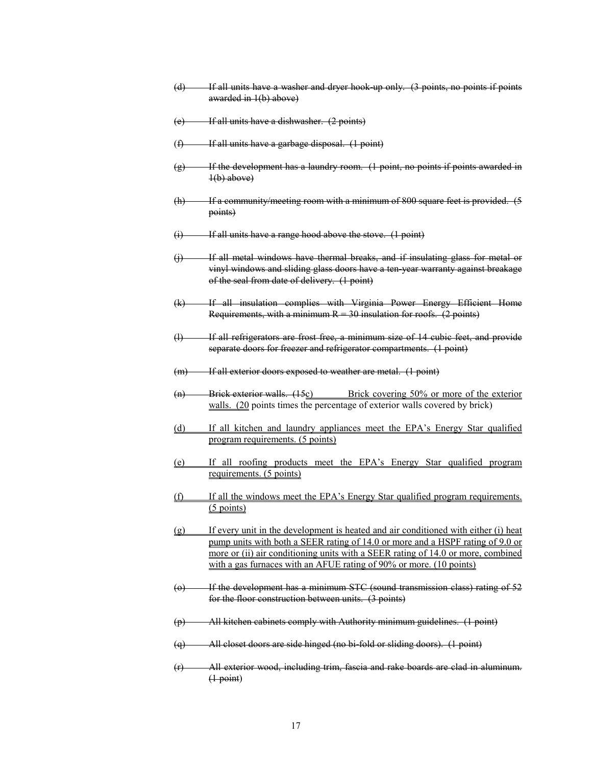- (d) If all units have a washer and dryer hook-up only. (3 points, no points if points awarded in 1(b) above)
- (e) If all units have a dishwasher. (2 points)
- (f) If all units have a garbage disposal. (1 point)
- (g) If the development has a laundry room. (1 point, no points if points awarded in  $1(b)$  above)
- (h) If a community/meeting room with a minimum of 800 square feet is provided. (5 points)
- (i) If all units have a range hood above the stove. (1 point)
- (j) If all metal windows have thermal breaks, and if insulating glass for metal or vinyl windows and sliding glass doors have a ten-year warranty against breakage of the seal from date of delivery. (1 point)
- (k) If all insulation complies with Virginia Power Energy Efficient Home Requirements, with a minimum  $R = 30$  insulation for roofs. (2 points)
- (l) If all refrigerators are frost free, a minimum size of 14 cubic feet, and provide separate doors for freezer and refrigerator compartments. (1 point)
- (m) If all exterior doors exposed to weather are metal. (1 point)
- (n) Brick exterior walls.  $(15c)$  Brick covering 50% or more of the exterior walls. (20 points times the percentage of exterior walls covered by brick)
- (d) If all kitchen and laundry appliances meet the EPA's Energy Star qualified program requirements. (5 points)
- (e) If all roofing products meet the EPA's Energy Star qualified program requirements. (5 points)
- (f) If all the windows meet the EPA's Energy Star qualified program requirements. (5 points)
- (g) If every unit in the development is heated and air conditioned with either (i) heat pump units with both a SEER rating of 14.0 or more and a HSPF rating of 9.0 or more or (ii) air conditioning units with a SEER rating of 14.0 or more, combined with a gas furnaces with an AFUE rating of 90% or more. (10 points)
- (o) If the development has a minimum STC (sound transmission class) rating of 52 for the floor construction between units. (3 points)
- (p) All kitchen cabinets comply with Authority minimum guidelines. (1 point)
- (q) All closet doors are side hinged (no bi-fold or sliding doors). (1 point)
- (r) All exterior wood, including trim, fascia and rake boards are clad in aluminum.  $(1-point)$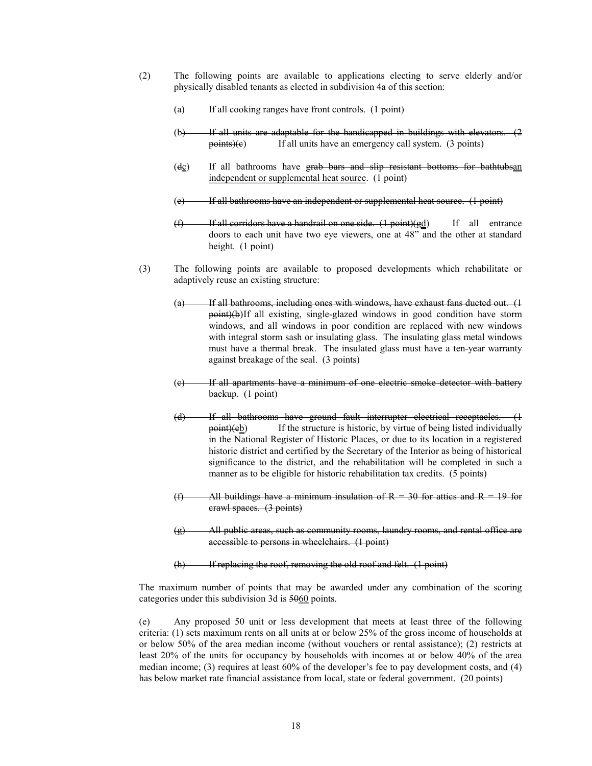- (2) The following points are available to applications electing to serve elderly and/or physically disabled tenants as elected in subdivision 4a of this section:
	- (a) If all cooking ranges have front controls. (1 point)
	- $(b)$  If all units are adaptable for the handicapped in buildings with elevators.  $(2)$  $points)(e)$  If all units have an emergency call system. (3 points)
	- $(dc)$  If all bathrooms have grab bars and slip resistant bottoms for bathtubsan independent or supplemental heat source. (1 point)
	- (e) If all bathrooms have an independent or supplemental heat source. (1 point)
	- $(f)$  If all corridors have a handrail on one side.  $(1 point)(gd)$  If all entrance doors to each unit have two eye viewers, one at 48" and the other at standard height. (1 point)
- (3) The following points are available to proposed developments which rehabilitate or adaptively reuse an existing structure:
	- (a) If all bathrooms, including ones with windows, have exhaust fans ducted out. (1) point)(b) If all existing, single-glazed windows in good condition have storm windows, and all windows in poor condition are replaced with new windows with integral storm sash or insulating glass. The insulating glass metal windows must have a thermal break. The insulated glass must have a ten-year warranty against breakage of the seal. (3 points)
	- (c) If all apartments have a minimum of one electric smoke detector with battery backup. (1 point)
	- (d) If all bathrooms have ground fault interrupter electrical receptacles. (1 point)(eb) If the structure is historic, by virtue of being listed individually in the National Register of Historic Places, or due to its location in a registered historic district and certified by the Secretary of the Interior as being of historical significance to the district, and the rehabilitation will be completed in such a manner as to be eligible for historic rehabilitation tax credits. (5 points)
	- (f) All buildings have a minimum insulation of  $R = 30$  for attics and  $R = 19$  for crawl spaces. (3 points)
	- (g) All public areas, such as community rooms, laundry rooms, and rental office are accessible to persons in wheelchairs. (1 point)
	- (h) If replacing the roof, removing the old roof and felt. (1 point)

The maximum number of points that may be awarded under any combination of the scoring categories under this subdivision 3d is 5060 points.

(e) Any proposed 50 unit or less development that meets at least three of the following criteria: (1) sets maximum rents on all units at or below 25% of the gross income of households at or below 50% of the area median income (without vouchers or rental assistance); (2) restricts at least 20% of the units for occupancy by households with incomes at or below 40% of the area median income; (3) requires at least 60% of the developer's fee to pay development costs, and (4) has below market rate financial assistance from local, state or federal government. (20 points)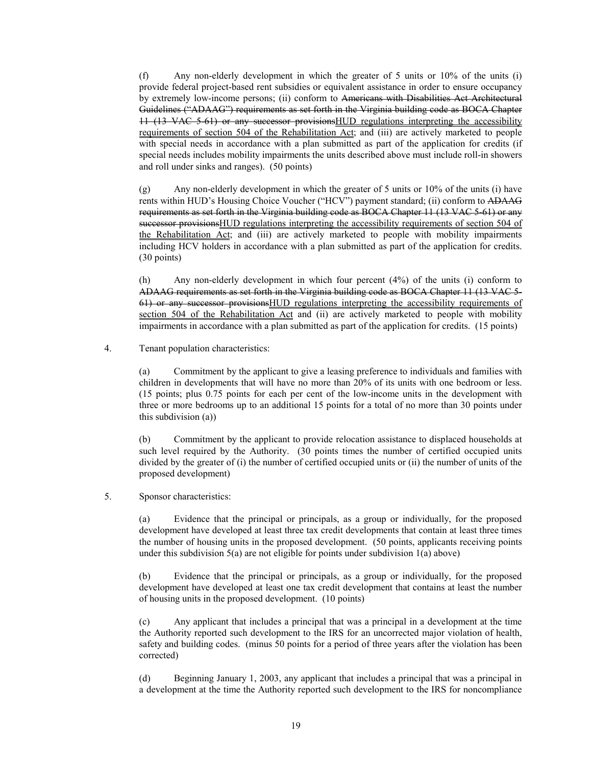(f) Any non-elderly development in which the greater of 5 units or 10% of the units (i) provide federal project-based rent subsidies or equivalent assistance in order to ensure occupancy by extremely low-income persons; (ii) conform to Americans with Disabilities Act Architectural Guidelines ("ADAAG") requirements as set forth in the Virginia building code as BOCA Chapter 11 (13 VAC 5-61) or any successor provisionsHUD regulations interpreting the accessibility requirements of section 504 of the Rehabilitation Act; and (iii) are actively marketed to people with special needs in accordance with a plan submitted as part of the application for credits (if special needs includes mobility impairments the units described above must include roll-in showers and roll under sinks and ranges). (50 points)

(g) Any non-elderly development in which the greater of 5 units or 10% of the units (i) have rents within HUD's Housing Choice Voucher ("HCV") payment standard; (ii) conform to ADAAG requirements as set forth in the Virginia building code as BOCA Chapter 11 (13 VAC 5-61) or any successor provisionsHUD regulations interpreting the accessibility requirements of section 504 of the Rehabilitation Act; and (iii) are actively marketed to people with mobility impairments including HCV holders in accordance with a plan submitted as part of the application for credits. (30 points)

(h) Any non-elderly development in which four percent (4%) of the units (i) conform to ADAAG requirements as set forth in the Virginia building code as BOCA Chapter 11 (13 VAC 5- 61) or any successor provisionsHUD regulations interpreting the accessibility requirements of section 504 of the Rehabilitation Act and (ii) are actively marketed to people with mobility impairments in accordance with a plan submitted as part of the application for credits. (15 points)

# 4. Tenant population characteristics:

(a) Commitment by the applicant to give a leasing preference to individuals and families with children in developments that will have no more than 20% of its units with one bedroom or less. (15 points; plus 0.75 points for each per cent of the low-income units in the development with three or more bedrooms up to an additional 15 points for a total of no more than 30 points under this subdivision (a))

(b) Commitment by the applicant to provide relocation assistance to displaced households at such level required by the Authority. (30 points times the number of certified occupied units divided by the greater of (i) the number of certified occupied units or (ii) the number of units of the proposed development)

# 5. Sponsor characteristics:

(a) Evidence that the principal or principals, as a group or individually, for the proposed development have developed at least three tax credit developments that contain at least three times the number of housing units in the proposed development. (50 points, applicants receiving points under this subdivision  $5(a)$  are not eligible for points under subdivision  $1(a)$  above)

(b) Evidence that the principal or principals, as a group or individually, for the proposed development have developed at least one tax credit development that contains at least the number of housing units in the proposed development. (10 points)

(c) Any applicant that includes a principal that was a principal in a development at the time the Authority reported such development to the IRS for an uncorrected major violation of health, safety and building codes. (minus 50 points for a period of three years after the violation has been corrected)

(d) Beginning January 1, 2003, any applicant that includes a principal that was a principal in a development at the time the Authority reported such development to the IRS for noncompliance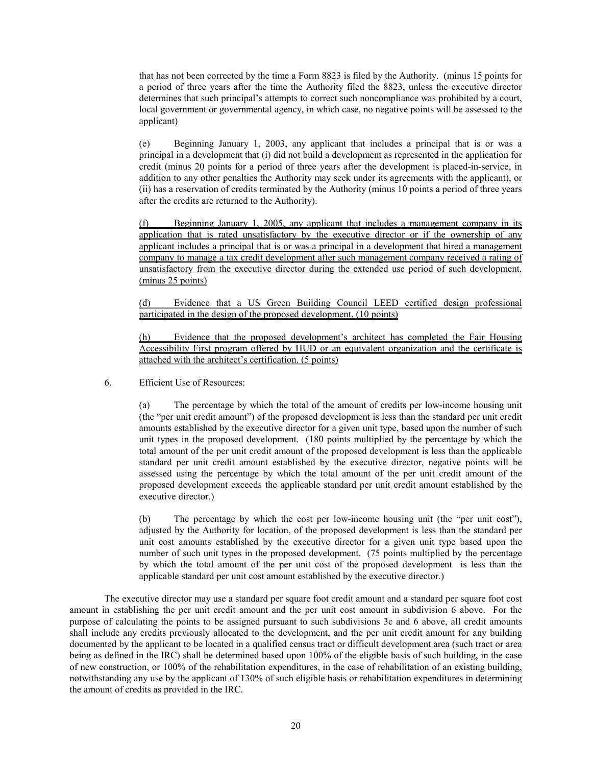that has not been corrected by the time a Form 8823 is filed by the Authority. (minus 15 points for a period of three years after the time the Authority filed the 8823, unless the executive director determines that such principal's attempts to correct such noncompliance was prohibited by a court, local government or governmental agency, in which case, no negative points will be assessed to the applicant)

(e) Beginning January 1, 2003, any applicant that includes a principal that is or was a principal in a development that (i) did not build a development as represented in the application for credit (minus 20 points for a period of three years after the development is placed-in-service, in addition to any other penalties the Authority may seek under its agreements with the applicant), or (ii) has a reservation of credits terminated by the Authority (minus 10 points a period of three years after the credits are returned to the Authority).

(f) Beginning January 1, 2005, any applicant that includes a management company in its application that is rated unsatisfactory by the executive director or if the ownership of any applicant includes a principal that is or was a principal in a development that hired a management company to manage a tax credit development after such management company received a rating of unsatisfactory from the executive director during the extended use period of such development. (minus 25 points)

(d) Evidence that a US Green Building Council LEED certified design professional participated in the design of the proposed development. (10 points)

Evidence that the proposed development's architect has completed the Fair Housing Accessibility First program offered by HUD or an equivalent organization and the certificate is attached with the architect's certification. (5 points)

6. Efficient Use of Resources:

(a) The percentage by which the total of the amount of credits per low-income housing unit (the "per unit credit amount") of the proposed development is less than the standard per unit credit amounts established by the executive director for a given unit type, based upon the number of such unit types in the proposed development. (180 points multiplied by the percentage by which the total amount of the per unit credit amount of the proposed development is less than the applicable standard per unit credit amount established by the executive director, negative points will be assessed using the percentage by which the total amount of the per unit credit amount of the proposed development exceeds the applicable standard per unit credit amount established by the executive director.)

(b) The percentage by which the cost per low-income housing unit (the "per unit cost"), adjusted by the Authority for location, of the proposed development is less than the standard per unit cost amounts established by the executive director for a given unit type based upon the number of such unit types in the proposed development. (75 points multiplied by the percentage by which the total amount of the per unit cost of the proposed development is less than the applicable standard per unit cost amount established by the executive director.)

The executive director may use a standard per square foot credit amount and a standard per square foot cost amount in establishing the per unit credit amount and the per unit cost amount in subdivision 6 above. For the purpose of calculating the points to be assigned pursuant to such subdivisions 3c and 6 above, all credit amounts shall include any credits previously allocated to the development, and the per unit credit amount for any building documented by the applicant to be located in a qualified census tract or difficult development area (such tract or area being as defined in the IRC) shall be determined based upon 100% of the eligible basis of such building, in the case of new construction, or 100% of the rehabilitation expenditures, in the case of rehabilitation of an existing building, notwithstanding any use by the applicant of 130% of such eligible basis or rehabilitation expenditures in determining the amount of credits as provided in the IRC.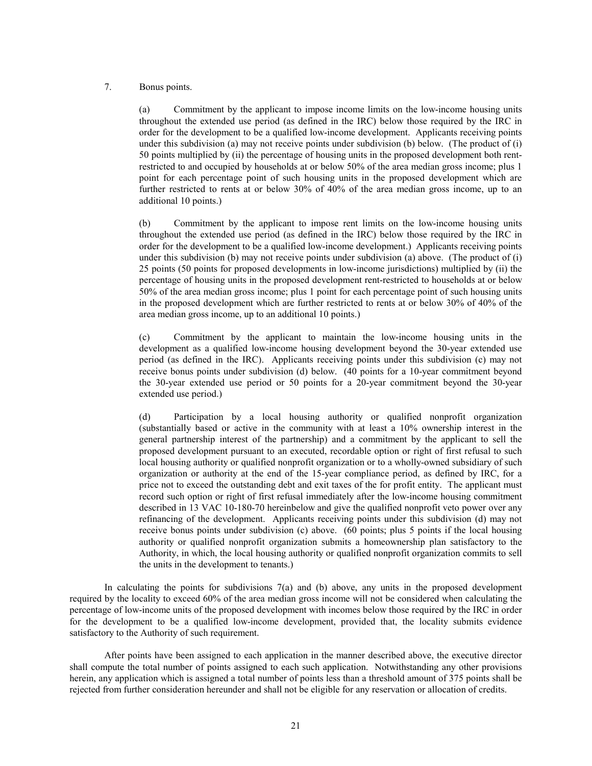# 7. Bonus points.

(a) Commitment by the applicant to impose income limits on the low-income housing units throughout the extended use period (as defined in the IRC) below those required by the IRC in order for the development to be a qualified low-income development. Applicants receiving points under this subdivision (a) may not receive points under subdivision (b) below. (The product of (i) 50 points multiplied by (ii) the percentage of housing units in the proposed development both rentrestricted to and occupied by households at or below 50% of the area median gross income; plus 1 point for each percentage point of such housing units in the proposed development which are further restricted to rents at or below 30% of 40% of the area median gross income, up to an additional 10 points.)

(b) Commitment by the applicant to impose rent limits on the low-income housing units throughout the extended use period (as defined in the IRC) below those required by the IRC in order for the development to be a qualified low-income development.) Applicants receiving points under this subdivision (b) may not receive points under subdivision (a) above. (The product of (i) 25 points (50 points for proposed developments in low-income jurisdictions) multiplied by (ii) the percentage of housing units in the proposed development rent-restricted to households at or below 50% of the area median gross income; plus 1 point for each percentage point of such housing units in the proposed development which are further restricted to rents at or below 30% of 40% of the area median gross income, up to an additional 10 points.)

(c) Commitment by the applicant to maintain the low-income housing units in the development as a qualified low-income housing development beyond the 30-year extended use period (as defined in the IRC). Applicants receiving points under this subdivision (c) may not receive bonus points under subdivision (d) below. (40 points for a 10-year commitment beyond the 30-year extended use period or 50 points for a 20-year commitment beyond the 30-year extended use period.)

(d) Participation by a local housing authority or qualified nonprofit organization (substantially based or active in the community with at least a 10% ownership interest in the general partnership interest of the partnership) and a commitment by the applicant to sell the proposed development pursuant to an executed, recordable option or right of first refusal to such local housing authority or qualified nonprofit organization or to a wholly-owned subsidiary of such organization or authority at the end of the 15-year compliance period, as defined by IRC, for a price not to exceed the outstanding debt and exit taxes of the for profit entity. The applicant must record such option or right of first refusal immediately after the low-income housing commitment described in 13 VAC 10-180-70 hereinbelow and give the qualified nonprofit veto power over any refinancing of the development. Applicants receiving points under this subdivision (d) may not receive bonus points under subdivision (c) above. (60 points; plus 5 points if the local housing authority or qualified nonprofit organization submits a homeownership plan satisfactory to the Authority, in which, the local housing authority or qualified nonprofit organization commits to sell the units in the development to tenants.)

In calculating the points for subdivisions 7(a) and (b) above, any units in the proposed development required by the locality to exceed 60% of the area median gross income will not be considered when calculating the percentage of low-income units of the proposed development with incomes below those required by the IRC in order for the development to be a qualified low-income development, provided that, the locality submits evidence satisfactory to the Authority of such requirement.

After points have been assigned to each application in the manner described above, the executive director shall compute the total number of points assigned to each such application. Notwithstanding any other provisions herein, any application which is assigned a total number of points less than a threshold amount of 375 points shall be rejected from further consideration hereunder and shall not be eligible for any reservation or allocation of credits.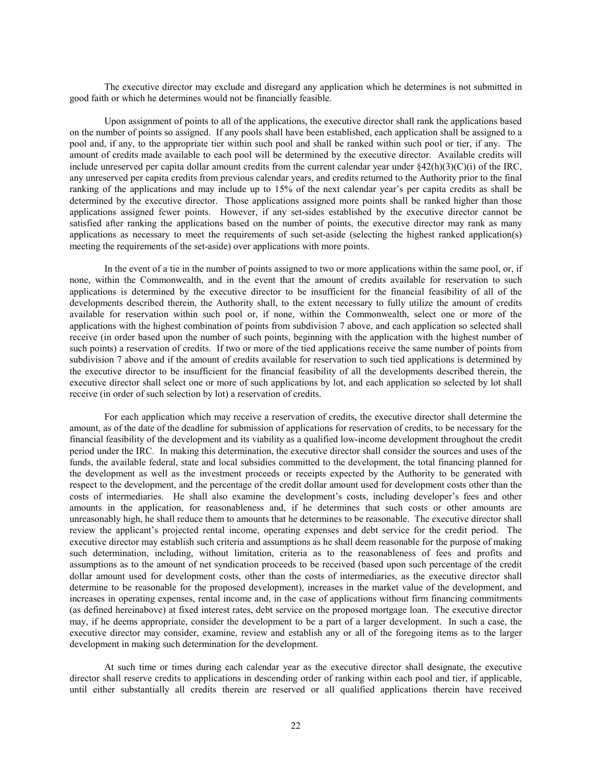The executive director may exclude and disregard any application which he determines is not submitted in good faith or which he determines would not be financially feasible.

Upon assignment of points to all of the applications, the executive director shall rank the applications based on the number of points so assigned. If any pools shall have been established, each application shall be assigned to a pool and, if any, to the appropriate tier within such pool and shall be ranked within such pool or tier, if any. The amount of credits made available to each pool will be determined by the executive director. Available credits will include unreserved per capita dollar amount credits from the current calendar year under  $\frac{842(h)(3)(C)(i)}{2}$  of the IRC, any unreserved per capita credits from previous calendar years, and credits returned to the Authority prior to the final ranking of the applications and may include up to 15% of the next calendar year's per capita credits as shall be determined by the executive director. Those applications assigned more points shall be ranked higher than those applications assigned fewer points. However, if any set-sides established by the executive director cannot be satisfied after ranking the applications based on the number of points, the executive director may rank as many applications as necessary to meet the requirements of such set-aside (selecting the highest ranked application(s) meeting the requirements of the set-aside) over applications with more points.

In the event of a tie in the number of points assigned to two or more applications within the same pool, or, if none, within the Commonwealth, and in the event that the amount of credits available for reservation to such applications is determined by the executive director to be insufficient for the financial feasibility of all of the developments described therein, the Authority shall, to the extent necessary to fully utilize the amount of credits available for reservation within such pool or, if none, within the Commonwealth, select one or more of the applications with the highest combination of points from subdivision 7 above, and each application so selected shall receive (in order based upon the number of such points, beginning with the application with the highest number of such points) a reservation of credits. If two or more of the tied applications receive the same number of points from subdivision 7 above and if the amount of credits available for reservation to such tied applications is determined by the executive director to be insufficient for the financial feasibility of all the developments described therein, the executive director shall select one or more of such applications by lot, and each application so selected by lot shall receive (in order of such selection by lot) a reservation of credits.

For each application which may receive a reservation of credits, the executive director shall determine the amount, as of the date of the deadline for submission of applications for reservation of credits, to be necessary for the financial feasibility of the development and its viability as a qualified low-income development throughout the credit period under the IRC. In making this determination, the executive director shall consider the sources and uses of the funds, the available federal, state and local subsidies committed to the development, the total financing planned for the development as well as the investment proceeds or receipts expected by the Authority to be generated with respect to the development, and the percentage of the credit dollar amount used for development costs other than the costs of intermediaries. He shall also examine the development's costs, including developer's fees and other amounts in the application, for reasonableness and, if he determines that such costs or other amounts are unreasonably high, he shall reduce them to amounts that he determines to be reasonable. The executive director shall review the applicant's projected rental income, operating expenses and debt service for the credit period. The executive director may establish such criteria and assumptions as he shall deem reasonable for the purpose of making such determination, including, without limitation, criteria as to the reasonableness of fees and profits and assumptions as to the amount of net syndication proceeds to be received (based upon such percentage of the credit dollar amount used for development costs, other than the costs of intermediaries, as the executive director shall determine to be reasonable for the proposed development), increases in the market value of the development, and increases in operating expenses, rental income and, in the case of applications without firm financing commitments (as defined hereinabove) at fixed interest rates, debt service on the proposed mortgage loan. The executive director may, if he deems appropriate, consider the development to be a part of a larger development. In such a case, the executive director may consider, examine, review and establish any or all of the foregoing items as to the larger development in making such determination for the development.

At such time or times during each calendar year as the executive director shall designate, the executive director shall reserve credits to applications in descending order of ranking within each pool and tier, if applicable, until either substantially all credits therein are reserved or all qualified applications therein have received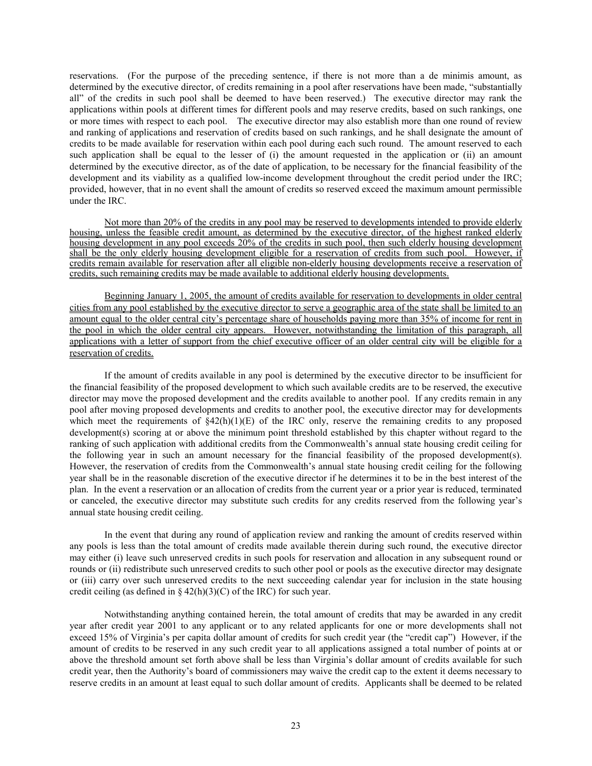reservations. (For the purpose of the preceding sentence, if there is not more than a de minimis amount, as determined by the executive director, of credits remaining in a pool after reservations have been made, "substantially all" of the credits in such pool shall be deemed to have been reserved.) The executive director may rank the applications within pools at different times for different pools and may reserve credits, based on such rankings, one or more times with respect to each pool. The executive director may also establish more than one round of review and ranking of applications and reservation of credits based on such rankings, and he shall designate the amount of credits to be made available for reservation within each pool during each such round. The amount reserved to each such application shall be equal to the lesser of (i) the amount requested in the application or (ii) an amount determined by the executive director, as of the date of application, to be necessary for the financial feasibility of the development and its viability as a qualified low-income development throughout the credit period under the IRC; provided, however, that in no event shall the amount of credits so reserved exceed the maximum amount permissible under the IRC.

Not more than 20% of the credits in any pool may be reserved to developments intended to provide elderly housing, unless the feasible credit amount, as determined by the executive director, of the highest ranked elderly housing development in any pool exceeds 20% of the credits in such pool, then such elderly housing development shall be the only elderly housing development eligible for a reservation of credits from such pool. However, if credits remain available for reservation after all eligible non-elderly housing developments receive a reservation of credits, such remaining credits may be made available to additional elderly housing developments.

Beginning January 1, 2005, the amount of credits available for reservation to developments in older central cities from any pool established by the executive director to serve a geographic area of the state shall be limited to an amount equal to the older central city's percentage share of households paying more than 35% of income for rent in the pool in which the older central city appears. However, notwithstanding the limitation of this paragraph, all applications with a letter of support from the chief executive officer of an older central city will be eligible for a reservation of credits.

If the amount of credits available in any pool is determined by the executive director to be insufficient for the financial feasibility of the proposed development to which such available credits are to be reserved, the executive director may move the proposed development and the credits available to another pool. If any credits remain in any pool after moving proposed developments and credits to another pool, the executive director may for developments which meet the requirements of  $\S 42(h)(1)(E)$  of the IRC only, reserve the remaining credits to any proposed development(s) scoring at or above the minimum point threshold established by this chapter without regard to the ranking of such application with additional credits from the Commonwealth's annual state housing credit ceiling for the following year in such an amount necessary for the financial feasibility of the proposed development(s). However, the reservation of credits from the Commonwealth's annual state housing credit ceiling for the following year shall be in the reasonable discretion of the executive director if he determines it to be in the best interest of the plan. In the event a reservation or an allocation of credits from the current year or a prior year is reduced, terminated or canceled, the executive director may substitute such credits for any credits reserved from the following year's annual state housing credit ceiling.

In the event that during any round of application review and ranking the amount of credits reserved within any pools is less than the total amount of credits made available therein during such round, the executive director may either (i) leave such unreserved credits in such pools for reservation and allocation in any subsequent round or rounds or (ii) redistribute such unreserved credits to such other pool or pools as the executive director may designate or (iii) carry over such unreserved credits to the next succeeding calendar year for inclusion in the state housing credit ceiling (as defined in  $\S 42(h)(3)(C)$  of the IRC) for such year.

Notwithstanding anything contained herein, the total amount of credits that may be awarded in any credit year after credit year 2001 to any applicant or to any related applicants for one or more developments shall not exceed 15% of Virginia's per capita dollar amount of credits for such credit year (the "credit cap") However, if the amount of credits to be reserved in any such credit year to all applications assigned a total number of points at or above the threshold amount set forth above shall be less than Virginia's dollar amount of credits available for such credit year, then the Authority's board of commissioners may waive the credit cap to the extent it deems necessary to reserve credits in an amount at least equal to such dollar amount of credits. Applicants shall be deemed to be related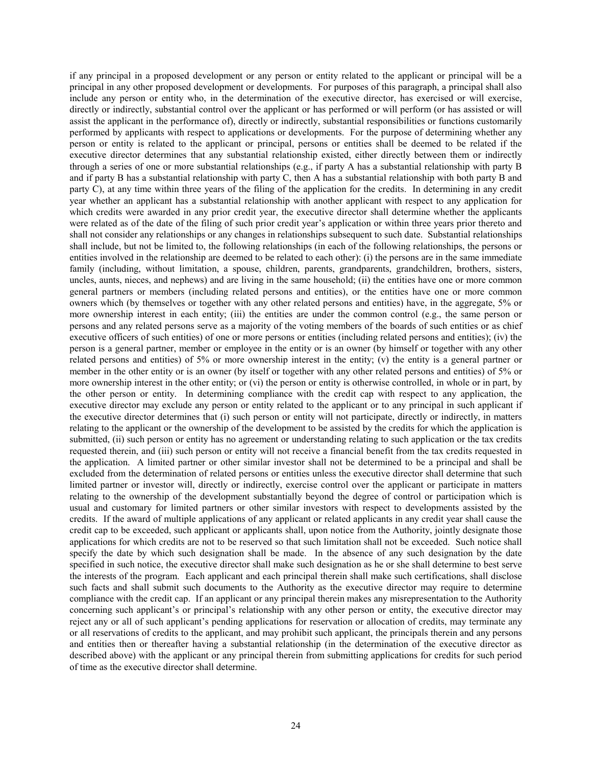if any principal in a proposed development or any person or entity related to the applicant or principal will be a principal in any other proposed development or developments. For purposes of this paragraph, a principal shall also include any person or entity who, in the determination of the executive director, has exercised or will exercise, directly or indirectly, substantial control over the applicant or has performed or will perform (or has assisted or will assist the applicant in the performance of), directly or indirectly, substantial responsibilities or functions customarily performed by applicants with respect to applications or developments. For the purpose of determining whether any person or entity is related to the applicant or principal, persons or entities shall be deemed to be related if the executive director determines that any substantial relationship existed, either directly between them or indirectly through a series of one or more substantial relationships (e.g., if party A has a substantial relationship with party B and if party B has a substantial relationship with party C, then A has a substantial relationship with both party B and party C), at any time within three years of the filing of the application for the credits. In determining in any credit year whether an applicant has a substantial relationship with another applicant with respect to any application for which credits were awarded in any prior credit year, the executive director shall determine whether the applicants were related as of the date of the filing of such prior credit year's application or within three years prior thereto and shall not consider any relationships or any changes in relationships subsequent to such date. Substantial relationships shall include, but not be limited to, the following relationships (in each of the following relationships, the persons or entities involved in the relationship are deemed to be related to each other): (i) the persons are in the same immediate family (including, without limitation, a spouse, children, parents, grandparents, grandchildren, brothers, sisters, uncles, aunts, nieces, and nephews) and are living in the same household; (ii) the entities have one or more common general partners or members (including related persons and entities), or the entities have one or more common owners which (by themselves or together with any other related persons and entities) have, in the aggregate, 5% or more ownership interest in each entity; (iii) the entities are under the common control (e.g., the same person or persons and any related persons serve as a majority of the voting members of the boards of such entities or as chief executive officers of such entities) of one or more persons or entities (including related persons and entities); (iv) the person is a general partner, member or employee in the entity or is an owner (by himself or together with any other related persons and entities) of 5% or more ownership interest in the entity; (v) the entity is a general partner or member in the other entity or is an owner (by itself or together with any other related persons and entities) of 5% or more ownership interest in the other entity; or (vi) the person or entity is otherwise controlled, in whole or in part, by the other person or entity. In determining compliance with the credit cap with respect to any application, the executive director may exclude any person or entity related to the applicant or to any principal in such applicant if the executive director determines that (i) such person or entity will not participate, directly or indirectly, in matters relating to the applicant or the ownership of the development to be assisted by the credits for which the application is submitted, (ii) such person or entity has no agreement or understanding relating to such application or the tax credits requested therein, and (iii) such person or entity will not receive a financial benefit from the tax credits requested in the application. A limited partner or other similar investor shall not be determined to be a principal and shall be excluded from the determination of related persons or entities unless the executive director shall determine that such limited partner or investor will, directly or indirectly, exercise control over the applicant or participate in matters relating to the ownership of the development substantially beyond the degree of control or participation which is usual and customary for limited partners or other similar investors with respect to developments assisted by the credits. If the award of multiple applications of any applicant or related applicants in any credit year shall cause the credit cap to be exceeded, such applicant or applicants shall, upon notice from the Authority, jointly designate those applications for which credits are not to be reserved so that such limitation shall not be exceeded. Such notice shall specify the date by which such designation shall be made. In the absence of any such designation by the date specified in such notice, the executive director shall make such designation as he or she shall determine to best serve the interests of the program. Each applicant and each principal therein shall make such certifications, shall disclose such facts and shall submit such documents to the Authority as the executive director may require to determine compliance with the credit cap. If an applicant or any principal therein makes any misrepresentation to the Authority concerning such applicant's or principal's relationship with any other person or entity, the executive director may reject any or all of such applicant's pending applications for reservation or allocation of credits, may terminate any or all reservations of credits to the applicant, and may prohibit such applicant, the principals therein and any persons and entities then or thereafter having a substantial relationship (in the determination of the executive director as described above) with the applicant or any principal therein from submitting applications for credits for such period of time as the executive director shall determine.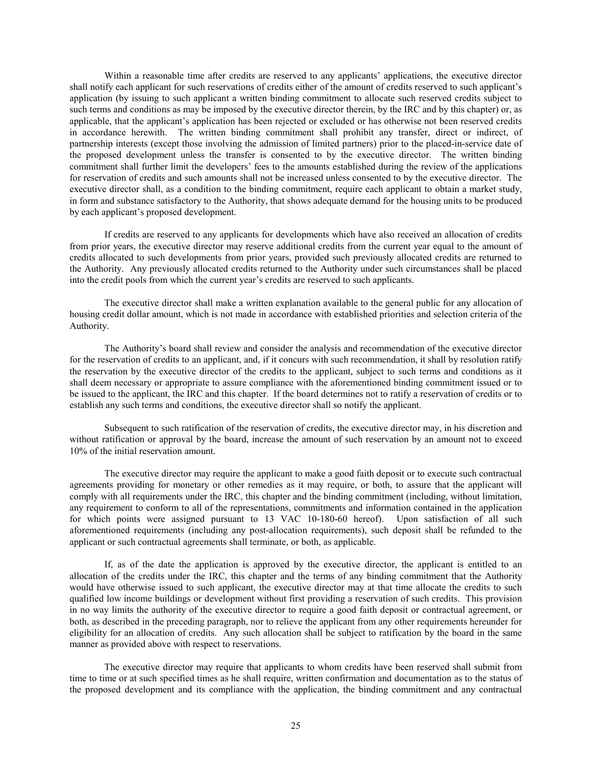Within a reasonable time after credits are reserved to any applicants' applications, the executive director shall notify each applicant for such reservations of credits either of the amount of credits reserved to such applicant's application (by issuing to such applicant a written binding commitment to allocate such reserved credits subject to such terms and conditions as may be imposed by the executive director therein, by the IRC and by this chapter) or, as applicable, that the applicant's application has been rejected or excluded or has otherwise not been reserved credits in accordance herewith. The written binding commitment shall prohibit any transfer, direct or indirect, of partnership interests (except those involving the admission of limited partners) prior to the placed-in-service date of the proposed development unless the transfer is consented to by the executive director. The written binding commitment shall further limit the developers' fees to the amounts established during the review of the applications for reservation of credits and such amounts shall not be increased unless consented to by the executive director. The executive director shall, as a condition to the binding commitment, require each applicant to obtain a market study, in form and substance satisfactory to the Authority, that shows adequate demand for the housing units to be produced by each applicant's proposed development.

If credits are reserved to any applicants for developments which have also received an allocation of credits from prior years, the executive director may reserve additional credits from the current year equal to the amount of credits allocated to such developments from prior years, provided such previously allocated credits are returned to the Authority. Any previously allocated credits returned to the Authority under such circumstances shall be placed into the credit pools from which the current year's credits are reserved to such applicants.

The executive director shall make a written explanation available to the general public for any allocation of housing credit dollar amount, which is not made in accordance with established priorities and selection criteria of the Authority.

The Authority's board shall review and consider the analysis and recommendation of the executive director for the reservation of credits to an applicant, and, if it concurs with such recommendation, it shall by resolution ratify the reservation by the executive director of the credits to the applicant, subject to such terms and conditions as it shall deem necessary or appropriate to assure compliance with the aforementioned binding commitment issued or to be issued to the applicant, the IRC and this chapter. If the board determines not to ratify a reservation of credits or to establish any such terms and conditions, the executive director shall so notify the applicant.

Subsequent to such ratification of the reservation of credits, the executive director may, in his discretion and without ratification or approval by the board, increase the amount of such reservation by an amount not to exceed 10% of the initial reservation amount.

The executive director may require the applicant to make a good faith deposit or to execute such contractual agreements providing for monetary or other remedies as it may require, or both, to assure that the applicant will comply with all requirements under the IRC, this chapter and the binding commitment (including, without limitation, any requirement to conform to all of the representations, commitments and information contained in the application for which points were assigned pursuant to 13 VAC 10-180-60 hereof). Upon satisfaction of all such aforementioned requirements (including any post-allocation requirements), such deposit shall be refunded to the applicant or such contractual agreements shall terminate, or both, as applicable.

If, as of the date the application is approved by the executive director, the applicant is entitled to an allocation of the credits under the IRC, this chapter and the terms of any binding commitment that the Authority would have otherwise issued to such applicant, the executive director may at that time allocate the credits to such qualified low income buildings or development without first providing a reservation of such credits. This provision in no way limits the authority of the executive director to require a good faith deposit or contractual agreement, or both, as described in the preceding paragraph, nor to relieve the applicant from any other requirements hereunder for eligibility for an allocation of credits. Any such allocation shall be subject to ratification by the board in the same manner as provided above with respect to reservations.

The executive director may require that applicants to whom credits have been reserved shall submit from time to time or at such specified times as he shall require, written confirmation and documentation as to the status of the proposed development and its compliance with the application, the binding commitment and any contractual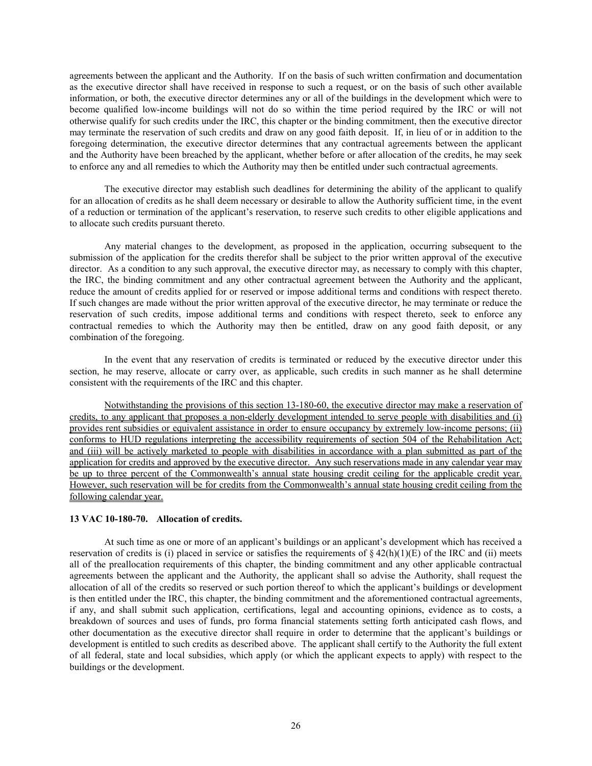agreements between the applicant and the Authority. If on the basis of such written confirmation and documentation as the executive director shall have received in response to such a request, or on the basis of such other available information, or both, the executive director determines any or all of the buildings in the development which were to become qualified low-income buildings will not do so within the time period required by the IRC or will not otherwise qualify for such credits under the IRC, this chapter or the binding commitment, then the executive director may terminate the reservation of such credits and draw on any good faith deposit. If, in lieu of or in addition to the foregoing determination, the executive director determines that any contractual agreements between the applicant and the Authority have been breached by the applicant, whether before or after allocation of the credits, he may seek to enforce any and all remedies to which the Authority may then be entitled under such contractual agreements.

The executive director may establish such deadlines for determining the ability of the applicant to qualify for an allocation of credits as he shall deem necessary or desirable to allow the Authority sufficient time, in the event of a reduction or termination of the applicant's reservation, to reserve such credits to other eligible applications and to allocate such credits pursuant thereto.

Any material changes to the development, as proposed in the application, occurring subsequent to the submission of the application for the credits therefor shall be subject to the prior written approval of the executive director. As a condition to any such approval, the executive director may, as necessary to comply with this chapter, the IRC, the binding commitment and any other contractual agreement between the Authority and the applicant, reduce the amount of credits applied for or reserved or impose additional terms and conditions with respect thereto. If such changes are made without the prior written approval of the executive director, he may terminate or reduce the reservation of such credits, impose additional terms and conditions with respect thereto, seek to enforce any contractual remedies to which the Authority may then be entitled, draw on any good faith deposit, or any combination of the foregoing.

In the event that any reservation of credits is terminated or reduced by the executive director under this section, he may reserve, allocate or carry over, as applicable, such credits in such manner as he shall determine consistent with the requirements of the IRC and this chapter.

Notwithstanding the provisions of this section 13-180-60, the executive director may make a reservation of credits, to any applicant that proposes a non-elderly development intended to serve people with disabilities and (i) provides rent subsidies or equivalent assistance in order to ensure occupancy by extremely low-income persons; (ii) conforms to HUD regulations interpreting the accessibility requirements of section 504 of the Rehabilitation Act; and (iii) will be actively marketed to people with disabilities in accordance with a plan submitted as part of the application for credits and approved by the executive director. Any such reservations made in any calendar year may be up to three percent of the Commonwealth's annual state housing credit ceiling for the applicable credit year. However, such reservation will be for credits from the Commonwealth's annual state housing credit ceiling from the following calendar year.

# **13 VAC 10-180-70. Allocation of credits.**

At such time as one or more of an applicant's buildings or an applicant's development which has received a reservation of credits is (i) placed in service or satisfies the requirements of  $\S$  42(h)(1)(E) of the IRC and (ii) meets all of the preallocation requirements of this chapter, the binding commitment and any other applicable contractual agreements between the applicant and the Authority, the applicant shall so advise the Authority, shall request the allocation of all of the credits so reserved or such portion thereof to which the applicant's buildings or development is then entitled under the IRC, this chapter, the binding commitment and the aforementioned contractual agreements, if any, and shall submit such application, certifications, legal and accounting opinions, evidence as to costs, a breakdown of sources and uses of funds, pro forma financial statements setting forth anticipated cash flows, and other documentation as the executive director shall require in order to determine that the applicant's buildings or development is entitled to such credits as described above. The applicant shall certify to the Authority the full extent of all federal, state and local subsidies, which apply (or which the applicant expects to apply) with respect to the buildings or the development.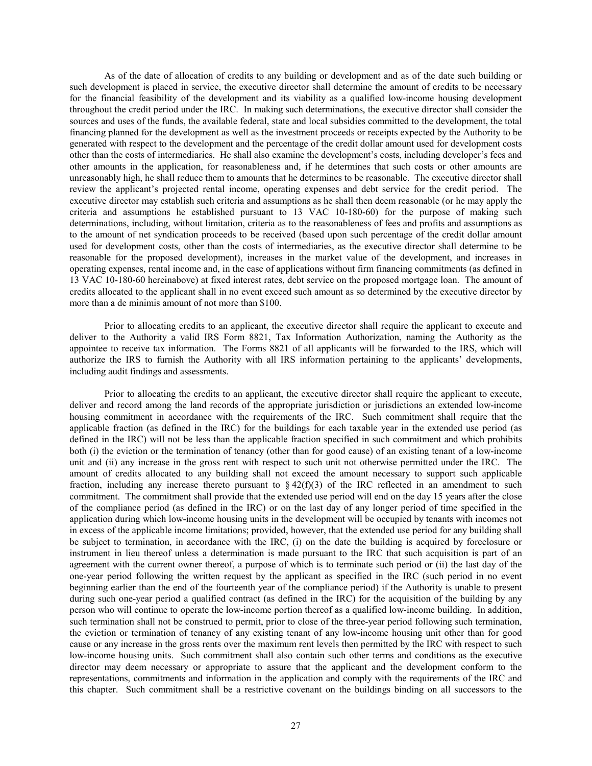As of the date of allocation of credits to any building or development and as of the date such building or such development is placed in service, the executive director shall determine the amount of credits to be necessary for the financial feasibility of the development and its viability as a qualified low-income housing development throughout the credit period under the IRC. In making such determinations, the executive director shall consider the sources and uses of the funds, the available federal, state and local subsidies committed to the development, the total financing planned for the development as well as the investment proceeds or receipts expected by the Authority to be generated with respect to the development and the percentage of the credit dollar amount used for development costs other than the costs of intermediaries. He shall also examine the development's costs, including developer's fees and other amounts in the application, for reasonableness and, if he determines that such costs or other amounts are unreasonably high, he shall reduce them to amounts that he determines to be reasonable. The executive director shall review the applicant's projected rental income, operating expenses and debt service for the credit period. The executive director may establish such criteria and assumptions as he shall then deem reasonable (or he may apply the criteria and assumptions he established pursuant to 13 VAC 10-180-60) for the purpose of making such determinations, including, without limitation, criteria as to the reasonableness of fees and profits and assumptions as to the amount of net syndication proceeds to be received (based upon such percentage of the credit dollar amount used for development costs, other than the costs of intermediaries, as the executive director shall determine to be reasonable for the proposed development), increases in the market value of the development, and increases in operating expenses, rental income and, in the case of applications without firm financing commitments (as defined in 13 VAC 10-180-60 hereinabove) at fixed interest rates, debt service on the proposed mortgage loan. The amount of credits allocated to the applicant shall in no event exceed such amount as so determined by the executive director by more than a de minimis amount of not more than \$100.

Prior to allocating credits to an applicant, the executive director shall require the applicant to execute and deliver to the Authority a valid IRS Form 8821, Tax Information Authorization, naming the Authority as the appointee to receive tax information. The Forms 8821 of all applicants will be forwarded to the IRS, which will authorize the IRS to furnish the Authority with all IRS information pertaining to the applicants' developments, including audit findings and assessments.

Prior to allocating the credits to an applicant, the executive director shall require the applicant to execute, deliver and record among the land records of the appropriate jurisdiction or jurisdictions an extended low-income housing commitment in accordance with the requirements of the IRC. Such commitment shall require that the applicable fraction (as defined in the IRC) for the buildings for each taxable year in the extended use period (as defined in the IRC) will not be less than the applicable fraction specified in such commitment and which prohibits both (i) the eviction or the termination of tenancy (other than for good cause) of an existing tenant of a low-income unit and (ii) any increase in the gross rent with respect to such unit not otherwise permitted under the IRC. The amount of credits allocated to any building shall not exceed the amount necessary to support such applicable fraction, including any increase thereto pursuant to  $\S 42(f)(3)$  of the IRC reflected in an amendment to such commitment. The commitment shall provide that the extended use period will end on the day 15 years after the close of the compliance period (as defined in the IRC) or on the last day of any longer period of time specified in the application during which low-income housing units in the development will be occupied by tenants with incomes not in excess of the applicable income limitations; provided, however, that the extended use period for any building shall be subject to termination, in accordance with the IRC, (i) on the date the building is acquired by foreclosure or instrument in lieu thereof unless a determination is made pursuant to the IRC that such acquisition is part of an agreement with the current owner thereof, a purpose of which is to terminate such period or (ii) the last day of the one-year period following the written request by the applicant as specified in the IRC (such period in no event beginning earlier than the end of the fourteenth year of the compliance period) if the Authority is unable to present during such one-year period a qualified contract (as defined in the IRC) for the acquisition of the building by any person who will continue to operate the low-income portion thereof as a qualified low-income building. In addition, such termination shall not be construed to permit, prior to close of the three-year period following such termination, the eviction or termination of tenancy of any existing tenant of any low-income housing unit other than for good cause or any increase in the gross rents over the maximum rent levels then permitted by the IRC with respect to such low-income housing units. Such commitment shall also contain such other terms and conditions as the executive director may deem necessary or appropriate to assure that the applicant and the development conform to the representations, commitments and information in the application and comply with the requirements of the IRC and this chapter. Such commitment shall be a restrictive covenant on the buildings binding on all successors to the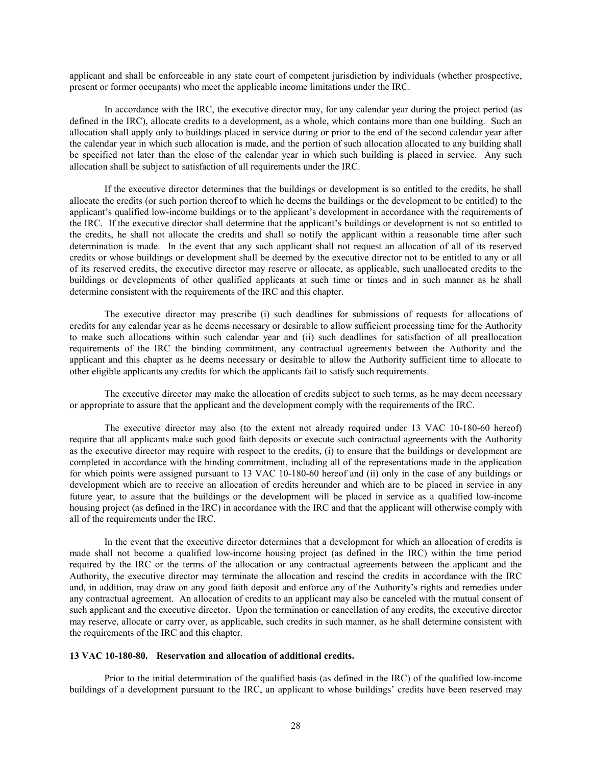applicant and shall be enforceable in any state court of competent jurisdiction by individuals (whether prospective, present or former occupants) who meet the applicable income limitations under the IRC.

In accordance with the IRC, the executive director may, for any calendar year during the project period (as defined in the IRC), allocate credits to a development, as a whole, which contains more than one building. Such an allocation shall apply only to buildings placed in service during or prior to the end of the second calendar year after the calendar year in which such allocation is made, and the portion of such allocation allocated to any building shall be specified not later than the close of the calendar year in which such building is placed in service. Any such allocation shall be subject to satisfaction of all requirements under the IRC.

If the executive director determines that the buildings or development is so entitled to the credits, he shall allocate the credits (or such portion thereof to which he deems the buildings or the development to be entitled) to the applicant's qualified low-income buildings or to the applicant's development in accordance with the requirements of the IRC. If the executive director shall determine that the applicant's buildings or development is not so entitled to the credits, he shall not allocate the credits and shall so notify the applicant within a reasonable time after such determination is made. In the event that any such applicant shall not request an allocation of all of its reserved credits or whose buildings or development shall be deemed by the executive director not to be entitled to any or all of its reserved credits, the executive director may reserve or allocate, as applicable, such unallocated credits to the buildings or developments of other qualified applicants at such time or times and in such manner as he shall determine consistent with the requirements of the IRC and this chapter.

The executive director may prescribe (i) such deadlines for submissions of requests for allocations of credits for any calendar year as he deems necessary or desirable to allow sufficient processing time for the Authority to make such allocations within such calendar year and (ii) such deadlines for satisfaction of all preallocation requirements of the IRC the binding commitment, any contractual agreements between the Authority and the applicant and this chapter as he deems necessary or desirable to allow the Authority sufficient time to allocate to other eligible applicants any credits for which the applicants fail to satisfy such requirements.

The executive director may make the allocation of credits subject to such terms, as he may deem necessary or appropriate to assure that the applicant and the development comply with the requirements of the IRC.

The executive director may also (to the extent not already required under 13 VAC 10-180-60 hereof) require that all applicants make such good faith deposits or execute such contractual agreements with the Authority as the executive director may require with respect to the credits, (i) to ensure that the buildings or development are completed in accordance with the binding commitment, including all of the representations made in the application for which points were assigned pursuant to 13 VAC 10-180-60 hereof and (ii) only in the case of any buildings or development which are to receive an allocation of credits hereunder and which are to be placed in service in any future year, to assure that the buildings or the development will be placed in service as a qualified low-income housing project (as defined in the IRC) in accordance with the IRC and that the applicant will otherwise comply with all of the requirements under the IRC.

In the event that the executive director determines that a development for which an allocation of credits is made shall not become a qualified low-income housing project (as defined in the IRC) within the time period required by the IRC or the terms of the allocation or any contractual agreements between the applicant and the Authority, the executive director may terminate the allocation and rescind the credits in accordance with the IRC and, in addition, may draw on any good faith deposit and enforce any of the Authority's rights and remedies under any contractual agreement. An allocation of credits to an applicant may also be canceled with the mutual consent of such applicant and the executive director. Upon the termination or cancellation of any credits, the executive director may reserve, allocate or carry over, as applicable, such credits in such manner, as he shall determine consistent with the requirements of the IRC and this chapter.

# **13 VAC 10-180-80. Reservation and allocation of additional credits.**

Prior to the initial determination of the qualified basis (as defined in the IRC) of the qualified low-income buildings of a development pursuant to the IRC, an applicant to whose buildings' credits have been reserved may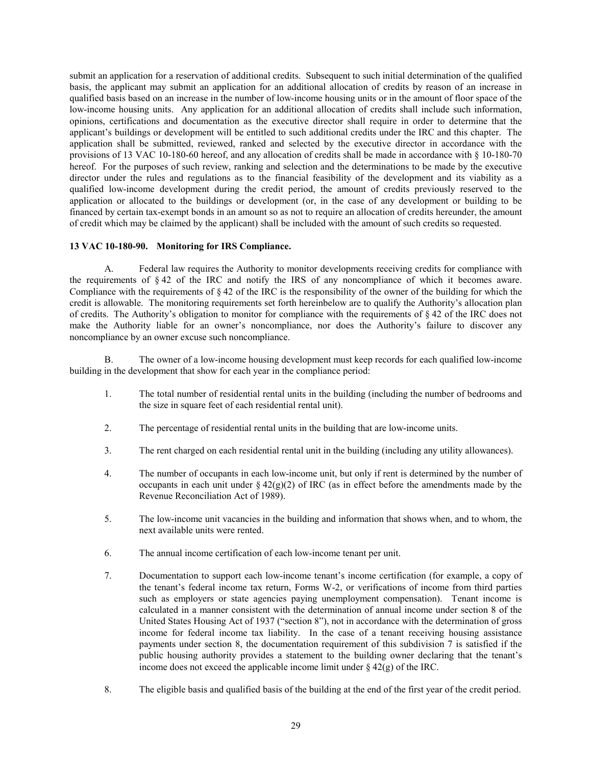submit an application for a reservation of additional credits. Subsequent to such initial determination of the qualified basis, the applicant may submit an application for an additional allocation of credits by reason of an increase in qualified basis based on an increase in the number of low-income housing units or in the amount of floor space of the low-income housing units. Any application for an additional allocation of credits shall include such information, opinions, certifications and documentation as the executive director shall require in order to determine that the applicant's buildings or development will be entitled to such additional credits under the IRC and this chapter. The application shall be submitted, reviewed, ranked and selected by the executive director in accordance with the provisions of 13 VAC 10-180-60 hereof, and any allocation of credits shall be made in accordance with § 10-180-70 hereof. For the purposes of such review, ranking and selection and the determinations to be made by the executive director under the rules and regulations as to the financial feasibility of the development and its viability as a qualified low-income development during the credit period, the amount of credits previously reserved to the application or allocated to the buildings or development (or, in the case of any development or building to be financed by certain tax-exempt bonds in an amount so as not to require an allocation of credits hereunder, the amount of credit which may be claimed by the applicant) shall be included with the amount of such credits so requested.

# **13 VAC 10-180-90. Monitoring for IRS Compliance.**

A. Federal law requires the Authority to monitor developments receiving credits for compliance with the requirements of § 42 of the IRC and notify the IRS of any noncompliance of which it becomes aware. Compliance with the requirements of § 42 of the IRC is the responsibility of the owner of the building for which the credit is allowable. The monitoring requirements set forth hereinbelow are to qualify the Authority's allocation plan of credits. The Authority's obligation to monitor for compliance with the requirements of  $\S 42$  of the IRC does not make the Authority liable for an owner's noncompliance, nor does the Authority's failure to discover any noncompliance by an owner excuse such noncompliance.

B. The owner of a low-income housing development must keep records for each qualified low-income building in the development that show for each year in the compliance period:

- 1. The total number of residential rental units in the building (including the number of bedrooms and the size in square feet of each residential rental unit).
- 2. The percentage of residential rental units in the building that are low-income units.
- 3. The rent charged on each residential rental unit in the building (including any utility allowances).
- 4. The number of occupants in each low-income unit, but only if rent is determined by the number of occupants in each unit under  $\S 42(g)(2)$  of IRC (as in effect before the amendments made by the Revenue Reconciliation Act of 1989).
- 5. The low-income unit vacancies in the building and information that shows when, and to whom, the next available units were rented.
- 6. The annual income certification of each low-income tenant per unit.
- 7. Documentation to support each low-income tenant's income certification (for example, a copy of the tenant's federal income tax return, Forms W-2, or verifications of income from third parties such as employers or state agencies paying unemployment compensation). Tenant income is calculated in a manner consistent with the determination of annual income under section 8 of the United States Housing Act of 1937 ("section 8"), not in accordance with the determination of gross income for federal income tax liability. In the case of a tenant receiving housing assistance payments under section 8, the documentation requirement of this subdivision 7 is satisfied if the public housing authority provides a statement to the building owner declaring that the tenant's income does not exceed the applicable income limit under  $\S$  42(g) of the IRC.
- 8. The eligible basis and qualified basis of the building at the end of the first year of the credit period.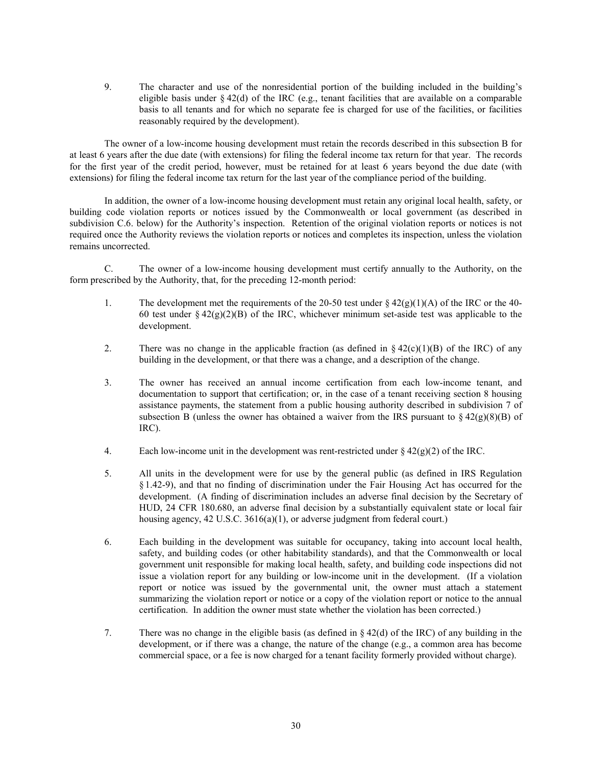9. The character and use of the nonresidential portion of the building included in the building's eligible basis under  $\S 42(d)$  of the IRC (e.g., tenant facilities that are available on a comparable basis to all tenants and for which no separate fee is charged for use of the facilities, or facilities reasonably required by the development).

The owner of a low-income housing development must retain the records described in this subsection B for at least 6 years after the due date (with extensions) for filing the federal income tax return for that year. The records for the first year of the credit period, however, must be retained for at least 6 years beyond the due date (with extensions) for filing the federal income tax return for the last year of the compliance period of the building.

In addition, the owner of a low-income housing development must retain any original local health, safety, or building code violation reports or notices issued by the Commonwealth or local government (as described in subdivision C.6. below) for the Authority's inspection. Retention of the original violation reports or notices is not required once the Authority reviews the violation reports or notices and completes its inspection, unless the violation remains uncorrected.

C. The owner of a low-income housing development must certify annually to the Authority, on the form prescribed by the Authority, that, for the preceding 12-month period:

- 1. The development met the requirements of the 20-50 test under  $\S 42(g)(1)(A)$  of the IRC or the 40-60 test under §  $42(g)(2)(B)$  of the IRC, whichever minimum set-aside test was applicable to the development.
- 2. There was no change in the applicable fraction (as defined in  $\S 42(c)(1)(B)$  of the IRC) of any building in the development, or that there was a change, and a description of the change.
- 3. The owner has received an annual income certification from each low-income tenant, and documentation to support that certification; or, in the case of a tenant receiving section 8 housing assistance payments, the statement from a public housing authority described in subdivision 7 of subsection B (unless the owner has obtained a waiver from the IRS pursuant to  $\S 42(g)(8)(B)$  of IRC).
- 4. Each low-income unit in the development was rent-restricted under  $\S 42(g)(2)$  of the IRC.
- 5. All units in the development were for use by the general public (as defined in IRS Regulation § 1.42-9), and that no finding of discrimination under the Fair Housing Act has occurred for the development. (A finding of discrimination includes an adverse final decision by the Secretary of HUD, 24 CFR 180.680, an adverse final decision by a substantially equivalent state or local fair housing agency, 42 U.S.C. 3616(a)(1), or adverse judgment from federal court.)
- 6. Each building in the development was suitable for occupancy, taking into account local health, safety, and building codes (or other habitability standards), and that the Commonwealth or local government unit responsible for making local health, safety, and building code inspections did not issue a violation report for any building or low-income unit in the development. (If a violation report or notice was issued by the governmental unit, the owner must attach a statement summarizing the violation report or notice or a copy of the violation report or notice to the annual certification. In addition the owner must state whether the violation has been corrected.)
- 7. There was no change in the eligible basis (as defined in  $\S 42(d)$  of the IRC) of any building in the development, or if there was a change, the nature of the change (e.g., a common area has become commercial space, or a fee is now charged for a tenant facility formerly provided without charge).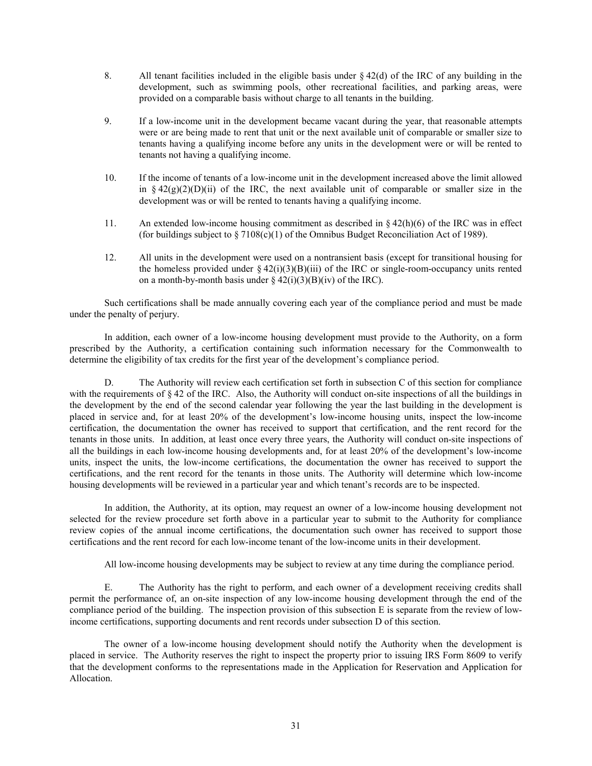- 8. All tenant facilities included in the eligible basis under  $\S 42(d)$  of the IRC of any building in the development, such as swimming pools, other recreational facilities, and parking areas, were provided on a comparable basis without charge to all tenants in the building.
- 9. If a low-income unit in the development became vacant during the year, that reasonable attempts were or are being made to rent that unit or the next available unit of comparable or smaller size to tenants having a qualifying income before any units in the development were or will be rented to tenants not having a qualifying income.
- 10. If the income of tenants of a low-income unit in the development increased above the limit allowed in §  $42(g)(2)(D)(ii)$  of the IRC, the next available unit of comparable or smaller size in the development was or will be rented to tenants having a qualifying income.
- 11. An extended low-income housing commitment as described in  $\S 42(h)(6)$  of the IRC was in effect (for buildings subject to  $\S 7108(c)(1)$  of the Omnibus Budget Reconciliation Act of 1989).
- 12. All units in the development were used on a nontransient basis (except for transitional housing for the homeless provided under  $\S 42(i)(3)(B(iii))$  of the IRC or single-room-occupancy units rented on a month-by-month basis under  $\S 42(i)(3)(B)(iv)$  of the IRC).

Such certifications shall be made annually covering each year of the compliance period and must be made under the penalty of perjury.

In addition, each owner of a low-income housing development must provide to the Authority, on a form prescribed by the Authority, a certification containing such information necessary for the Commonwealth to determine the eligibility of tax credits for the first year of the development's compliance period.

D. The Authority will review each certification set forth in subsection C of this section for compliance with the requirements of § 42 of the IRC. Also, the Authority will conduct on-site inspections of all the buildings in the development by the end of the second calendar year following the year the last building in the development is placed in service and, for at least 20% of the development's low-income housing units, inspect the low-income certification, the documentation the owner has received to support that certification, and the rent record for the tenants in those units. In addition, at least once every three years, the Authority will conduct on-site inspections of all the buildings in each low-income housing developments and, for at least 20% of the development's low-income units, inspect the units, the low-income certifications, the documentation the owner has received to support the certifications, and the rent record for the tenants in those units. The Authority will determine which low-income housing developments will be reviewed in a particular year and which tenant's records are to be inspected.

In addition, the Authority, at its option, may request an owner of a low-income housing development not selected for the review procedure set forth above in a particular year to submit to the Authority for compliance review copies of the annual income certifications, the documentation such owner has received to support those certifications and the rent record for each low-income tenant of the low-income units in their development.

All low-income housing developments may be subject to review at any time during the compliance period.

E. The Authority has the right to perform, and each owner of a development receiving credits shall permit the performance of, an on-site inspection of any low-income housing development through the end of the compliance period of the building. The inspection provision of this subsection E is separate from the review of lowincome certifications, supporting documents and rent records under subsection D of this section.

The owner of a low-income housing development should notify the Authority when the development is placed in service. The Authority reserves the right to inspect the property prior to issuing IRS Form 8609 to verify that the development conforms to the representations made in the Application for Reservation and Application for Allocation.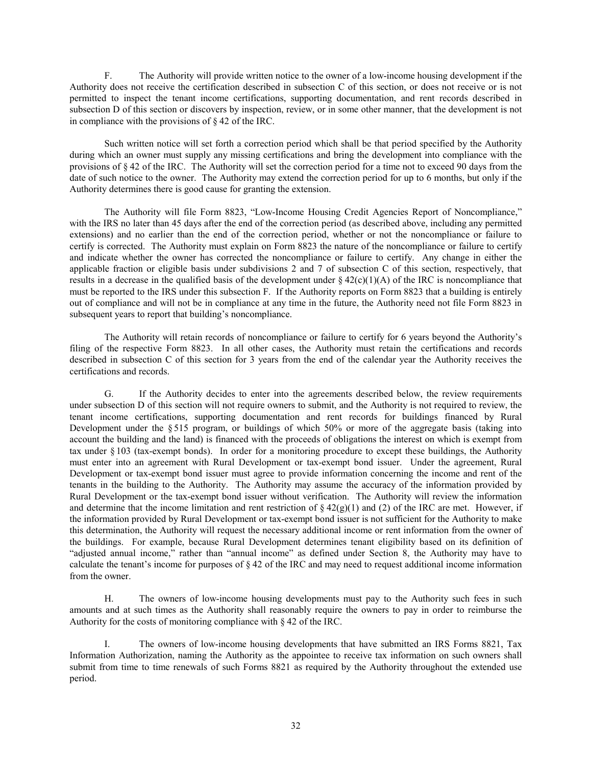F. The Authority will provide written notice to the owner of a low-income housing development if the Authority does not receive the certification described in subsection C of this section, or does not receive or is not permitted to inspect the tenant income certifications, supporting documentation, and rent records described in subsection D of this section or discovers by inspection, review, or in some other manner, that the development is not in compliance with the provisions of § 42 of the IRC.

Such written notice will set forth a correction period which shall be that period specified by the Authority during which an owner must supply any missing certifications and bring the development into compliance with the provisions of § 42 of the IRC. The Authority will set the correction period for a time not to exceed 90 days from the date of such notice to the owner. The Authority may extend the correction period for up to 6 months, but only if the Authority determines there is good cause for granting the extension.

The Authority will file Form 8823, "Low-Income Housing Credit Agencies Report of Noncompliance," with the IRS no later than 45 days after the end of the correction period (as described above, including any permitted extensions) and no earlier than the end of the correction period, whether or not the noncompliance or failure to certify is corrected. The Authority must explain on Form 8823 the nature of the noncompliance or failure to certify and indicate whether the owner has corrected the noncompliance or failure to certify. Any change in either the applicable fraction or eligible basis under subdivisions 2 and 7 of subsection C of this section, respectively, that results in a decrease in the qualified basis of the development under  $\S 42(c)(1)(A)$  of the IRC is noncompliance that must be reported to the IRS under this subsection F. If the Authority reports on Form 8823 that a building is entirely out of compliance and will not be in compliance at any time in the future, the Authority need not file Form 8823 in subsequent years to report that building's noncompliance.

The Authority will retain records of noncompliance or failure to certify for 6 years beyond the Authority's filing of the respective Form 8823. In all other cases, the Authority must retain the certifications and records described in subsection C of this section for 3 years from the end of the calendar year the Authority receives the certifications and records.

G. If the Authority decides to enter into the agreements described below, the review requirements under subsection D of this section will not require owners to submit, and the Authority is not required to review, the tenant income certifications, supporting documentation and rent records for buildings financed by Rural Development under the § 515 program, or buildings of which 50% or more of the aggregate basis (taking into account the building and the land) is financed with the proceeds of obligations the interest on which is exempt from tax under § 103 (tax-exempt bonds). In order for a monitoring procedure to except these buildings, the Authority must enter into an agreement with Rural Development or tax-exempt bond issuer. Under the agreement, Rural Development or tax-exempt bond issuer must agree to provide information concerning the income and rent of the tenants in the building to the Authority. The Authority may assume the accuracy of the information provided by Rural Development or the tax-exempt bond issuer without verification. The Authority will review the information and determine that the income limitation and rent restriction of  $\S 42(g)(1)$  and (2) of the IRC are met. However, if the information provided by Rural Development or tax-exempt bond issuer is not sufficient for the Authority to make this determination, the Authority will request the necessary additional income or rent information from the owner of the buildings. For example, because Rural Development determines tenant eligibility based on its definition of "adjusted annual income," rather than "annual income" as defined under Section 8, the Authority may have to calculate the tenant's income for purposes of § 42 of the IRC and may need to request additional income information from the owner.

H. The owners of low-income housing developments must pay to the Authority such fees in such amounts and at such times as the Authority shall reasonably require the owners to pay in order to reimburse the Authority for the costs of monitoring compliance with § 42 of the IRC.

I. The owners of low-income housing developments that have submitted an IRS Forms 8821, Tax Information Authorization, naming the Authority as the appointee to receive tax information on such owners shall submit from time to time renewals of such Forms 8821 as required by the Authority throughout the extended use period.